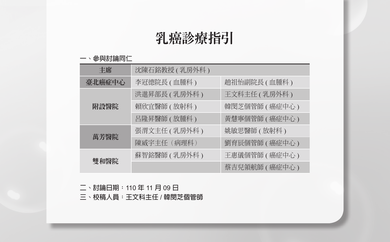# 乳癌診療指引

#### **一、參與討論同仁**

| 丰席     | 沈陳石銘教授 ( 乳房外科 ) |                 |
|--------|-----------------|-----------------|
| 臺北癌症中心 | 李冠德院長(血腫科)      | 趙祖怡副院長(血腫科)     |
|        | 洪進昇部長 ( 乳房外科 )  | 王文科主任 ( 乳房外科 )  |
| 附設醫院   | 賴欣宜醫師(放射科)      | 韓閔芝個管師 ( 癌症中心 ) |
|        | 呂隆昇醫師 ( 放腫科 )   | 黃慧寧個管師 ( 癌症中心 ) |
| 萬芳醫院   | 張渭文主任 ( 乳房外科 )  | 姚敏思醫師(放射科)      |
|        | 陳威宇主任 (病理科)     | 劉育辰個管師 ( 癌症中心 ) |
| 雙和醫院   | 蘇智銘醫師 ( 乳房外科 )  | 王惠儀個管師 ( 癌症中心 ) |
|        |                 | 蔡吉兒領航師 ( 癌症中心 ) |

**二、討論日期:**110 **年** 11 **月** 09 **日**

**三、校稿人員:王文科主任** / **韓閔芝個管師**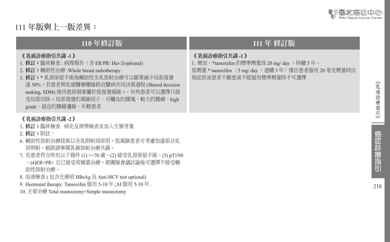

111 **年版與上一版差異:**

### **110** 年修訂版 **111** 年 修訂版

《 乳癌診療指引共識 **-1** 》

- 1. 修訂:臨床檢查 : 病理報告(含 ER/PR/ Her-2(optional)
- 2. 修訂:輔助性治療 :Whole breast radiotherapy
- 3. 修訂:\* 乳房保留手術後輔助性全乳放射治療可以顯著減少局部復發 達 50%,若患者與乳癌醫療團隊經由醫病共同決策過程 (Shared decision making, SDM) 後同意該個案屬於低復發風險 +,有些患者可以選擇只接 受局部切除 + 局部復發的風險因子:可觸及的腫塊、較大的腫瘤、high grade、接近的腫瘤邊緣、年輕患者

#### 《 乳癌診療指引共識 **-2** 》

- 1. 修訂:臨床檢查 病史及理學檢查並加入生殖考量
- 2. 修訂:附註:
- 6. 輔助性放射治療技術以全乳照射為原則,低風險患者可考慮加速部分乳 房照射,細節請參閱乳癌放射治療共識。
- 7. 若患者符合所有以下條件 (1) >=70 歲、(2) 接受乳房保留手術、(3) pT1N0 、(4)ER+PR+ 且已接受荷爾蒙治療,經團隊會議討論後可選擇不接受輔 助性放射治療。
- 8. 血液檢查 ( 包含化療前 HBsAg 及 Anti-HCV test optional)
- 9. Hormonal therapy: Tamoxifen 服用 5-10 年 ;AI 服用 5-10 年 .
- 10. 主要治療 Total mastectomy=Simple mastectomy

#### 《 乳癌診療指引共識 **-1** 》

1. 增加:\*tamoxifen 的標準劑量為 20 mg/ day ,持續 5 年。 低劑量 \* tamoxifen (5 mg/ day, 連續 3年)僅在患者服用 20 毫克劑量時出 現症狀或患者不願意或不能服用標準劑量時才可選擇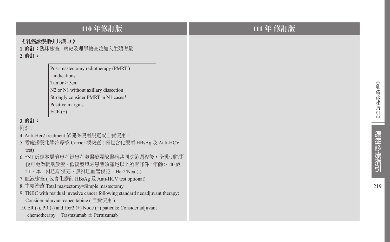|                                   | 110年修訂版                                                                                                                                                                                                                                                                                                                                                                                                                                                                                                                                                                                                                                                                                                                                               |
|-----------------------------------|-------------------------------------------------------------------------------------------------------------------------------------------------------------------------------------------------------------------------------------------------------------------------------------------------------------------------------------------------------------------------------------------------------------------------------------------------------------------------------------------------------------------------------------------------------------------------------------------------------------------------------------------------------------------------------------------------------------------------------------------------------|
| 《乳癌診療指引共識 -3 》<br>2. 修訂:          | 1.修訂:臨床檢查 病史及理學檢查並加入生殖考量。                                                                                                                                                                                                                                                                                                                                                                                                                                                                                                                                                                                                                                                                                                                             |
| 3. 修訂:<br>附註:<br>test $)$ $\circ$ | Post-mastectomy radiotherapy (PMRT)<br>indications:<br>Tumor $>$ 5cm<br>N2 or N1 without axillary dissection<br>Strongly consider PMRT in N1 cases*<br>Positive margins<br>$ECE (+)$<br>4. Anti-Her2 treatment 依健保使用規定或自費使用。<br>5. 考慮接受化學治療或 Carrier 液檢查 (需包含化療前 HBsAg 及 Anti-HCV<br>6. *N1 低復發風險患者經患者與醫療團隊醫病共同決策過程後,全乳切除術<br>後可免做輔助放療。低復發風險患者須滿足以下所有條件:年齡 >=40歲,<br>T1,單一淋巴結侵犯,無淋巴血管侵犯,Her2/Neu (-)<br>7. 血液檢查 (包含化療前 HBsAg 及 Anti-HCV test optional)<br>8. 主要治療 Total mastectomy=Simple mastectomy<br>9. TNBC with residual invasive cancer following standard neoadjuvant therapy:<br>Consider adjuvant capecitabine (自費使用)<br>10. ER (-), PR (-) and Her2 (+) Node (+) patients: Consider adjuvant<br>chemotherapy + Trastuzumab $\pm$ Pertuzumab |

219

癌症診療指引

《乳癌診療指引》

**Contract**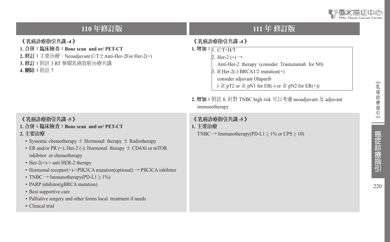

# **110** 年修訂版 **111** 年 修訂版

#### 《 乳癌診療指引共識 **-4** 》

- **1.** 合併:臨床檢查:**Bone scan and or/ PET-CT**
- **2.** 修訂:主要治療:Neoadjuvant C/T±Anti-Her-2For Her-2(+)
- **3.** 修訂:附註 3 RT 參閱乳癌放射治療共識
- **4.** 刪除:附註 7

#### 《 乳癌診療指引共識 **-5** 》

- **1.** 合併:臨床檢查:**Bone scan and or/ PET-CT**
- **2.** 主要治療
	- Systemic chemotherapy  $\pm$  Hormonal therapy  $\pm$  Radiotherapy
	- ER and/or PR  $(+)$ , Her-2  $(-)$ : Hormonal therapy  $\pm$  CD4/6i or mTOR inhibitor or chemotherapy
	- Her-2(+)-> anti HER-2 therapy
	- Hormonal receptor(+)->PIK3CA mutation(optional)  $\rightarrow$  PIK3CA inhibitor
	- TNBC  $\rightarrow$  Immunotherapy(PD-L1  $\geq$  1%)
	- PARP inhibitor(gBRCA mutation)
	- Best supportive care
	- Palliative surgery and other forms local treatment if needs
	- Clinical trial

- 《 乳癌診療指引共識 **-4** 》
- 1. 增加: 1 C/T+H/T 2. Her-2  $(+) \rightarrow$  Anti-Her-2 therapy (consider Trastuzumab for N0) 3. If Her-2(-) BRCA1/2 mutation(+) consider adjuvant Olaparib  $\geq$  pT2 or  $\geq$  pN1 for ER(-) or  $\geq$  pN2 for ER(+))
- **2.** 增加:附註 8. 針對 TNBC high risk 可以考慮 neoadjuvant 及 adjuvant immunotherapy

#### 《 乳癌診療指引共識 **-5** 》

**1.** 主要治療

TNBC  $\rightarrow$  Immunotherapy(PD-L1  $\geq$  1% or CPS  $\geq$  10)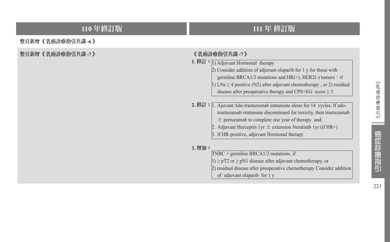# **110** 年修訂版 **111** 年 修訂版

整頁新增《 乳癌診療指引共識 **-6** 》

**整頁新增《 乳癌診療指引共識 -7 》 《 》 《 》 《 》 《 》 《 乳癌診療指引共識 -7 》** 

**1.** 修訂:  $\boxed{1}$  Adjuvant Hormonal therapy 2) Consider addition of adjuvant olaparib for 1 y for those with germline BRCA1/2 mutations and  $HR(+)$ , HER2(-) tumors: if  $|1\rangle$  LNs > 4 positive (N2) after adjuvant chemotherapy, or 2) residual disease after preoperative therapy and CPS+EG score  $\geq$  3

2. 修訂:  $\overline{1}$ . Ajuvant Ado-trastuzumab emtansine alone for 14 cycles. If adotrastuzumab emtansine discontinued for toxicity, then trastuzumab  $\pm$  pertuzumab to complete one year of therapy and;

- 2. Adjuvant Herceptin 1yr  $\pm$  extension Neratinib 1yr (if HR+)
- 3. If HR-positive, adjuvant Hormonal therapy

#### **3.** 增加:

| $TNEC + germline BRCA1/2 mutations, if$                                  |  |
|--------------------------------------------------------------------------|--|
| $ 1\rangle \ge pT2$ or $\ge pN1$ disease after adjuvant chemotherapy, or |  |
| [2] residual disease after preoperative chemotherapy Consider addition   |  |
| of adjuvant olaparib for 1 y                                             |  |
|                                                                          |  |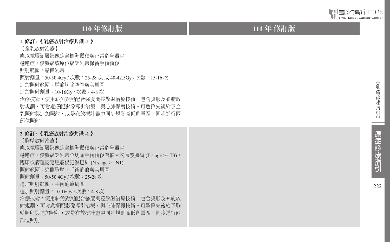

#### **110** 年修訂版 **111**

#### **1.** 修訂 **:** 《 乳癌放射治療共識 **-1**  》

【全乳放射治療】

應以電腦斷層影像定義標靶體積與正常危急器官

適應症:侵襲癌或原位癌經乳房保留手術術後

照射範圍:患側乳房

照射劑量:50-50.4Gy / 次數:25-28 次 或 40-42.5Gy / 次數:15-16 次

追加照射範圍:腫瘤切除空腔與其周圍

追加照射劑量:10-16Gy / 次數:4-8 次

治療技術:使用斜角對照配合強度調控放射治療技術,包含弧形及螺旋放 射規劃,可考慮搭配影像導引治療,與心肺保護技術。可選擇先後給予全 乳照射與追加照射,或是在放療計畫中同步規劃高低劑量區,同步進行兩 部位照射

#### **2.** 修訂 **:** 《 乳癌放射治療共識 **-1**  》

【胸壁放射治療】

應以電腦斷層影像定義標靶體積與正常危急器官

適應症:侵襲癌經乳房全切除手術術後有較大的原發腫瘤 (T stage >= T3),

臨床或病理認定腫瘤侵犯淋巴結 (N stage >= N1)

照射範圍:患側胸壁、手術疤痕與其周圍

照射劑量:50-50.4Gy / 次數:25-28 次

追加照射範圍:手術疤痕周圍

追加照射劑量:10-16Gy / 次數:4-8 次

治療技術:使用斜角對照配合強度調控放射治療技術,包含弧形及螺旋放 射規劃,可考慮搭配影像導引治療,與心肺保護技術。可選擇先後給予胸 壁照射與追加照射,或是在放療計書中同步規劃高低劑量區,同步進行兩 部位照射

# 111 年 修訂版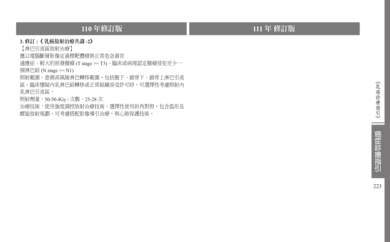# **110** 年修訂版 **111** 年 修訂版

#### **3.** 修訂 **:**《 乳癌放射治療共識 **-2**》

【淋巴引流區放射治療】

應以電腦斷層影像定義標靶體積與正常危急器官

適應症:較大的原發腫瘤 (T stage >= T3)、臨床或病理認定腫瘤侵犯至少一

個淋巴結 (N stage >= N1)

照射範圍:患側高風險淋巴轉移範圍,包括腋下、鎖骨下、鎖骨上淋巴引流 區。臨床懷疑內乳淋巴結轉移或正常組織容受許可時,可選擇性考慮照射內 乳淋巴引流區。

照射劑量: 50-50.4Gy / 次數: 25-28 次

治療技術:使用強度調控放射治療技術,選擇性使用斜角對照,包含弧形及 螺旋放射規劃,可考慮搭配影像導引治療,與心肺保護技術。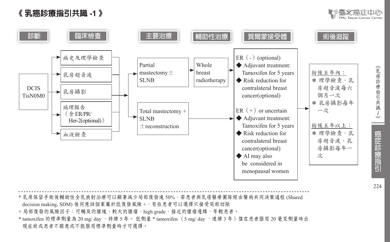





\* 乳房保留手術後輔助性全乳放射治療可以顯著減少局部復發達 50%,若患者與乳癌醫療團隊經由醫病共同決策過程 (Shared decision making, SDM) 後同意該個案屬於低復發風險 +, 有些患者可以選擇只接受局部切除 + 局部復發的風險因子:可觸及的腫塊、較大的腫瘤、high grade、接近的腫瘤邊緣、年輕患者。 \* tamoxifen 的標準劑量為 20 mg/ day, 持續 5 年。 低劑量 \* tamoxifen (5 mg/ day, 連續 3 年)僅在患者服用 20 毫克劑量時出 現症狀或患者不願意或不能服用標準劑量時才可選擇。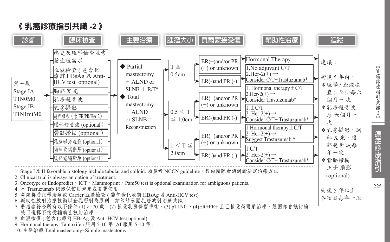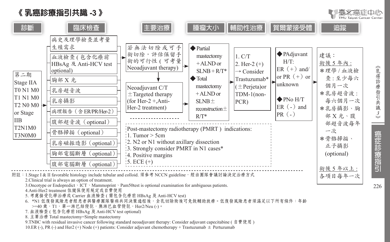



9.TNBC with residual invasive cancer following standard neoadjuvant therapy: Consider adjuvant capecitabine ( 自費使用 )

10.ER (-), PR (-) and Her2 (+) Node (+) patients: Consider adjuvant chemotherapy + Trastuzumab  $\pm$  Pertuzumab

毫北癌症中心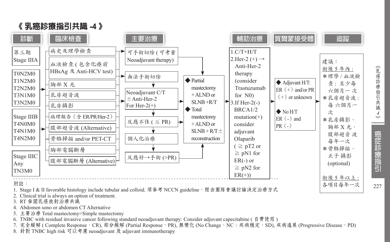

*4*

癌症診療指引

《乳癌診療指引共識

- 2. Clinical trial is always an option of treatment.
- 3. RT 參閱乳癌放射治療共識
- 4. Abdomen sono or abdomen CT Alternative
- 5. 主要治療 Total mastectomy=Simple mastectomy
- 6. TNBC with residual invasive cancer following standard neoadjuvant therapy: Consider adjuvant capecitabine ( 自費使用 )
- 7. 完全緩解 ( Complete Response, CR), 部分緩解 (Partial Response, PR), 無變化 (No Change, NC;疾病穩定, SD), 疾病進展 (Progressive Disease, PD)
- 8. 針對 TNBC high risk 可以考慮 neoadjuvant 及 adjuvant immunotherapy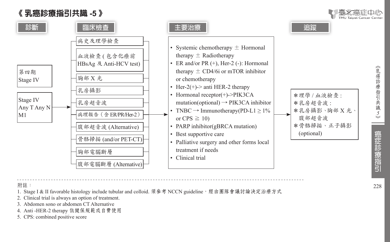# 《 乳癌診療指引共識 **-5** 》



附註:

1. Stage I & II favorable histology include tubular and colloid. 須參考 NCCN guideline, 經由團隊會議討論決定治療方式

2. Clinical trial is always an option of treatment.

- 3. Abdomen sono or abdomen CT Alternative
- 4. Anti -HER-2 therapy 依健保規範或自費使用
- 5. CPS: combined positive score

癌症診療指引

228

《乳癌診療指引共識5》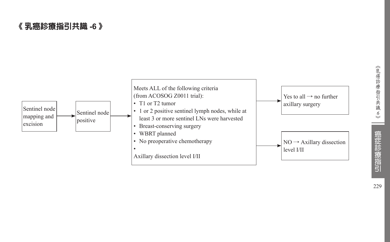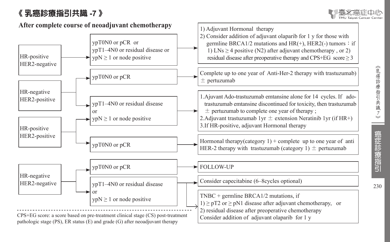# 《 乳癌診療指引共識 **-7** 》



《乳癌診療指引共識7》

230

癌症診療指引

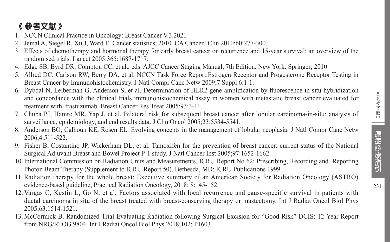# 癌症診療指引

# 《 參考文獻 》

- 1. NCCN Clinical Practice in Oncology: Breast Cancer V.3.2021
- 2. Jemal A, Siegel R, Xu J, Ward E. Cancer statistics, 2010. CA CancerJ Clin 2010;60:277-300.
- 3. Effects of chemotherapy and hormonal therapy for early breast cancer on recurrence and 15-year survival: an overview of the randomised trials. Lancet 2005;365:1687-1717.
- 4. Edge SB, Byrd DR, Compton CC, et al., eds. AJCC Cancer Staging Manual, 7th Edition. New York: Springer; 2010
- 5. Allred DC, Carlson RW, Berry DA, et al. NCCN Task Force Report:Estrogen Receptor and Progesterone Receptor Testing in Breast Cancer by Immunohistochemistry. J Natl Compr Canc Netw 2009;7 Suppl 6:1-1.
- 6. Dybdal N, Leiberman G, Anderson S, et al. Determination of HER2 gene amplification by fluorescence in situ hybridization and concordance with the clinical trials immunohistochemical assay in women with metastatic breast cancer evaluated for treatment with trastuzumab. Breast Cancer Res Treat 2005;93:3-11.
- 7. Chuba PJ, Hamre MR, Yap J, et al. Bilateral risk for subsequent breast cancer after lobular carcinoma-in-situ: analysis of surveillance, epidemiology, and end results data. J Clin Oncol 2005;23:5534-5541.
- 8. Anderson BO, Calhoun KE, Rosen EL. Evolving concepts in the management of lobular neoplasia. J Natl Compr Canc Netw 2006;4:511-522.
- 9. Fisher B, Costantino JP, Wickerham DL, et al. Tamoxifen for the prevention of breast cancer: current status of the National Surgical Adjuvant Breast and Bowel Project P-1 study. J Natl Cancer Inst 2005;97:1652-1662.
- 10. International Commission on Radiation Units and Measurements. ICRU Report No 62: Prescribing, Recording and Reporting Photon Beam Therapy (Supplement to ICRU Report 50). Bethesda, MD: ICRU Publications 1999.
- 11. Radiation therapy for the whole breast: Executive summary of an American Society for Radiation Oncology (ASTRO) evidence-based guideline, Practical Radiation Oncology, 2018; 8:145-152
- 12. Vargas C, Kestin L, Go N, et al. Factors associated with local recurrence and cause-specific survival in patients with ductal carcinoma in situ of the breast treated with breast-conserving therapy or mastectomy. Int J Radiat Oncol Biol Phys 2005;63:1514-1521.
- 13. McCormick B. Randomized Trial Evaluating Radiation following Surgical Excision for "Good Risk" DCIS: 12-Year Report from NRG/RTOG 9804. Int J Radiat Oncol Biol Phys 2018;102: P1603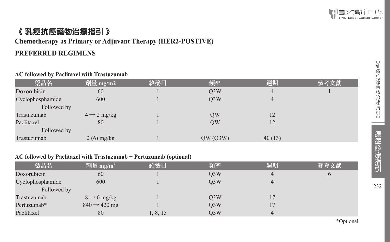# 《 乳癌抗癌藥物治療指引 》

# **Chemotherapy as Primary or Adjuvant Therapy (HER2-POSTIVE)**

#### **PREFERRED REGIMENS**

#### **AC followed by Paclitaxel with Trastuzumab**

| 藥品名              | 劑量 mg/m2                | 給藥日 | 頻率               | 週期             | 參考文獻 |
|------------------|-------------------------|-----|------------------|----------------|------|
| Doxorubicin      | 60                      |     | Q <sub>3</sub> W | $\overline{4}$ |      |
| Cyclophosphamide | 600                     |     | O <sub>3</sub> W | $\overline{4}$ |      |
| Followed by      |                         |     |                  |                |      |
| Trastuzumab      | $4 \rightarrow 2$ mg/kg |     | QW               | 12             |      |
| Paclitaxel       | 80                      |     | QW               | 12             |      |
| Followed by      |                         |     |                  |                |      |
| Trastuzumab      | $2(6)$ mg/kg            |     | QW(Q3W)          | 40(13)         |      |

#### **AC followed by Paclitaxel with Trastuzumab + Pertuzumab (optional)**

| 藥品名              | 劑量 mg/m <sup>2</sup>     | 給藥日      | 頻率               | 週期 | 參考文獻     |
|------------------|--------------------------|----------|------------------|----|----------|
| Doxorubicin      | 60                       |          | Q <sub>3</sub> W | 4  | $\sigma$ |
| Cyclophosphamide | 600                      |          | O3W              | 4  |          |
| Followed by      |                          |          |                  |    |          |
| Trastuzumab      | $8 \rightarrow 6$ mg/kg  |          | Q <sub>3</sub> W |    |          |
| Pertuzumab*      | $840 \rightarrow 420$ mg |          | Q <sub>3</sub> W |    |          |
| Paclitaxel       | 80                       | 1, 8, 15 | Q <sub>3</sub> W | 4  |          |

\*Optional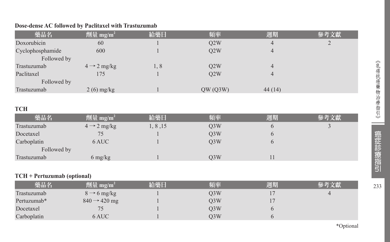#### **Dose-dense AC followed by Paclitaxel with Trastuzumab**

| 劑量 mg/m <sup>2</sup><br>給藥日 | 頻率                                                          | 週期     | 參考文獻    |
|-----------------------------|-------------------------------------------------------------|--------|---------|
|                             | Q2W                                                         | 4      | 2       |
|                             | Q2W                                                         | 4      |         |
|                             |                                                             |        |         |
| 1,8                         | Q2W                                                         | 4      |         |
|                             | Q2W                                                         | 4      |         |
|                             |                                                             |        |         |
|                             |                                                             | 44(14) |         |
|                             |                                                             |        |         |
|                             | 60<br>600<br>$4 \rightarrow 2$ mg/kg<br>175<br>$2(6)$ mg/kg |        | QW(Q3W) |

#### **TCH**

| 藥品名         | 劑量 mg/m <sup>2</sup>    | 給藥日      | 頻率               | 週期 | 參考文獻 |
|-------------|-------------------------|----------|------------------|----|------|
| Trastuzumab | $4 \rightarrow 2$ mg/kg | 1, 8, 15 | Q <sub>3</sub> W |    |      |
| Docetaxel   |                         |          | O <sub>3</sub> W | O  |      |
| Carboplatin | 6 AUC                   |          | O <sub>3</sub> W |    |      |
| Followed by |                         |          |                  |    |      |
| Trastuzumab | 6 mg/kg                 |          | O <sub>3</sub> W |    |      |

#### **TCH + Pertuzumab (optional)**

| 藥品名         | 劑量 mg/m <sup>2</sup>     | 給藥日 | 頻率               | 週期 | 參考文獻 |
|-------------|--------------------------|-----|------------------|----|------|
| Trastuzumab | $8 \rightarrow 6$ mg/kg  |     | O <sub>3</sub> W |    |      |
| Pertuzumab* | $840 \rightarrow 420$ mg |     | O <sub>3</sub> W |    |      |
| Docetaxel   |                          |     | O <sub>3</sub> W |    |      |
| Carboplatin | 6 AUC -                  |     | O <sub>3</sub> W |    |      |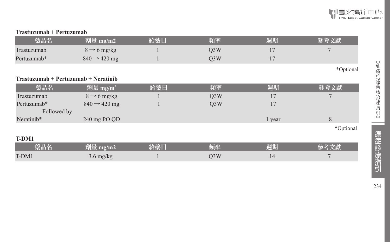

#### **Trastuzumab + Pertuzumab**

| 藥品名         | 劑量 mg/m2                               | 給藥日 | 頻率               | 週期     | 參考文獻      |
|-------------|----------------------------------------|-----|------------------|--------|-----------|
| Trastuzumab | $8 \rightarrow 6$ mg/kg                |     | Q <sub>3</sub> W | 17     |           |
| Pertuzumab* | $840 \rightarrow 420$ mg               |     | Q <sub>3</sub> W | 17     |           |
|             |                                        |     |                  |        | *Optional |
|             | $Trastuzumab + Pertuzumab + Neratinib$ |     |                  |        |           |
| 藥品名         | 劑量 mg/m <sup>2</sup>                   | 給藥日 | 頻率               | 週期     | 參考文獻      |
| Trastuzumab | $8 \rightarrow 6$ mg/kg                |     | Q <sub>3</sub> W | 17     |           |
| Pertuzumab* | $840 \rightarrow 420$ mg               |     | Q <sub>3</sub> W | 17     |           |
| Followed by |                                        |     |                  |        |           |
| Neratinib*  | 240 mg PO QD                           |     |                  | 1 year | 8         |
|             |                                        |     |                  |        | *Optional |
| T-DM1       |                                        |     |                  |        |           |
| 藥品名         | 劑量 mg/m2                               | 給藥日 | 頻率               | 週期     | 參考文獻      |
| T-DM1       | $3.6 \text{ mg/kg}$                    |     | Q <sub>3</sub> W | 14     |           |

234

- -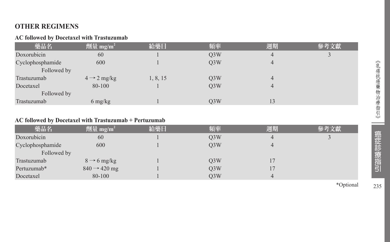## **OTHER REGIMENS**

#### **AC followed by Docetaxel with Trastuzumab**

| 藥品名              | 劑量 mg/m <sup>2</sup>            | 給藥日      | 頻率               | 週期 | 參考文獻 |
|------------------|---------------------------------|----------|------------------|----|------|
| Doxorubicin      | 60                              |          | Q <sub>3</sub> W | 4  |      |
| Cyclophosphamide | 600                             |          | Q3W              | 4  |      |
| Followed by      |                                 |          |                  |    |      |
| Trastuzumab      | $4 \rightarrow 2$ mg/kg         | 1, 8, 15 | Q <sub>3</sub> W | 4  |      |
| Docetaxel        | 80-100                          |          | O <sub>3</sub> W |    |      |
| Followed by      |                                 |          |                  |    |      |
| Trastuzumab      | $6 \frac{\text{mg}}{\text{kg}}$ |          | O <sub>3</sub> W | 13 |      |

#### **AC followed by Docetaxel with Trastuzumab + Pertuzumab**

| 藥品名              | 劑量 mg/m <sup>2</sup>     | 給藥日 | 頻率               | 週期 | 參考文獻 |
|------------------|--------------------------|-----|------------------|----|------|
| Doxorubicin      | 60                       |     | Q <sub>3</sub> W |    |      |
| Cyclophosphamide | 600                      |     | O3W              |    |      |
| Followed by      |                          |     |                  |    |      |
| Trastuzumab      | $8 \rightarrow 6$ mg/kg  |     | Q3W              |    |      |
| Pertuzumab*      | $840 \rightarrow 420$ mg |     | Q3W              |    |      |
| Docetaxel        | 80-100                   |     | O <sub>3</sub> W | 4  |      |

\*Optional

 $\sim$ 

癌症診療指引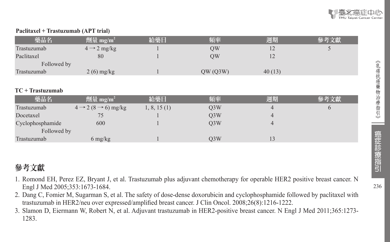#### **Paclitaxel + Trastuzumab (APT trial)**

| 藥品名         | 劑量 mg/m <sup>2</sup>    | 給藥日 | 頻率      | 週期     | 參考文獻 |
|-------------|-------------------------|-----|---------|--------|------|
| Trastuzumab | $4 \rightarrow 2$ mg/kg |     | OW      | 12     |      |
| Paclitaxel  | 80                      |     | OW      |        |      |
| Followed by |                         |     |         |        |      |
| Trastuzumab | $2(6)$ mg/kg            |     | QW(Q3W) | 40(13) |      |

#### **TC + Trastuzumab**

| 藥品名              | 劑量 mg/m <sup>2</sup>                      | 給藥日         | 頻率               | 週期 | 參考文獻 |
|------------------|-------------------------------------------|-------------|------------------|----|------|
| Trastuzumab      | $4 \rightarrow 2 (8 \rightarrow 6)$ mg/kg | 1, 8, 15(1) | O <sub>3</sub> W |    |      |
| Docetaxel        |                                           |             | O3W              |    |      |
| Cyclophosphamide | 600                                       |             | O <sub>3</sub> W | 4  |      |
| Followed by      |                                           |             |                  |    |      |
| Trastuzumab      | $6 \frac{\text{mg}}{\text{kg}}$           |             | O3W              |    |      |

# 參考文獻

- 1. Romond EH, Perez EZ, Bryant J, et al. Trastuzumab plus adjuvant chemotherapy for operable HER2 positive breast cancer. N Engl J Med 2005;353:1673-1684.
- 2. Dang C, Fomier M, Sugarman S, et al. The safety of dose-dense doxorubicin and cyclophosphamide followed by paclitaxel with trastuzumab in HER2/neu over expressed/amplified breast cancer. J Clin Oncol. 2008;26(8):1216-1222.
- 3. Slamon D, Eiermann W, Robert N, et al. Adjuvant trastuzumab in HER2-positive breast cancer. N Engl J Med 2011;365:1273- 1283.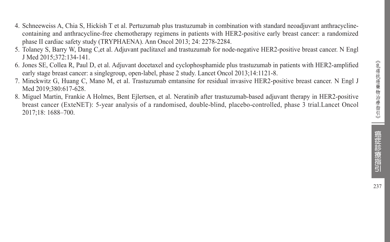- 4. Schneeweiss A, Chia S, Hickish T et al. Pertuzumab plus trastuzumab in combination with standard neoadjuvant anthracyclinecontaining and anthracycline-free chemotherapy regimens in patients with HER2-positive early breast cancer: a randomized phase II cardiac safety study (TRYPHAENA). Ann Oncol 2013; 24: 2278-2284.
- 5. Tolaney S, Barry W, Dang C,et al. Adjuvant paclitaxel and trastuzumab for node-negative HER2-positive breast cancer. N Engl J Med 2015;372:134-141.
- 6. Jones SE, Collea R, Paul D, et al. Adjuvant docetaxel and cyclophosphamide plus trastuzumab in patients with HER2-amplified early stage breast cancer: a singlegroup, open-label, phase 2 study. Lancet Oncol 2013;14:1121-8.
- 7. Minckwitz G, Huang C, Mano M, et al. Trastuzumab emtansine for residual invasive HER2-positive breast cancer. N Engl J Med 2019;380:617-628.
- 8. Miguel Martin, Frankie A Holmes, Bent Ejlertsen, et al. Neratinib after trastuzumab-based adjuvant therapy in HER2-positive breast cancer (ExteNET): 5-year analysis of a randomised, double-blind, placebo-controlled, phase 3 trial.Lancet Oncol 2017;18: 1688–700.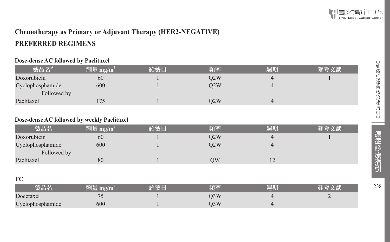# **Chemotherapy as Primary or Adjuvant Therapy (HER2-NEGATIVE) PREFERRED REGIMENS**

#### **Dose-dense AC followed by Paclitaxel**

| 藥品名*             | 劑量 mg/m <sup>2</sup> | 給藥日 | 頻率  | 週期 |  |
|------------------|----------------------|-----|-----|----|--|
| Doxorubicin      | 60                   |     | O2W |    |  |
| Cyclophosphamide | 600                  |     | O2W |    |  |
| Followed by      |                      |     |     |    |  |
| Paclitaxel       |                      |     | O2W |    |  |

#### **Dose-dense AC followed by weekly Paclitaxel**

| 藥品名              | 劑量 mg/m <sup>2</sup> | 給藥日 | 頻率  | 週期             |  |
|------------------|----------------------|-----|-----|----------------|--|
| Doxorubicin      | 60                   |     | O2W |                |  |
| Cyclophosphamide | 600                  |     | O2W |                |  |
| Followed by      |                      |     |     |                |  |
| Paclitaxel       | 80                   |     | ЭW  | $\overline{1}$ |  |

#### **TC**

|                  | 78 I II                                              | 临   | 周期 |   |
|------------------|------------------------------------------------------|-----|----|---|
| Docetaxel        | $\overline{\phantom{a}}$<br>$\overline{\phantom{a}}$ | O3W |    | - |
| Cyclophosphamide | 600                                                  | O3W |    |   |

238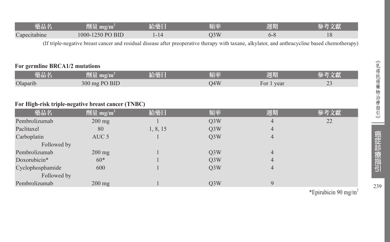| 榮品名                    | mg/m<br>'i I     | TERL | 百本<br>고민 | <b>ATTENTION</b><br>週期 |    |
|------------------------|------------------|------|----------|------------------------|----|
| $\sim$<br>Capecitabine | 1000-1250 PO BID |      | 3W       | v-0                    | ⊥∪ |

(If triple-negative breast cancer and residual disease after preoperative therapy with taxane, alkylator, and anthracycline based chemotherapy)

#### **For germline BRCA1/2 mutations**

| 藥品名      | mg/m<br>yeti ilitir. | 給藥日 | 頻率  | 週期          | 乂脉            |
|----------|----------------------|-----|-----|-------------|---------------|
| Olaparib | 300 mg PO BID        |     | O4W | year<br>For | $\sim$<br>ر ب |

#### **For High-risk triple-negative breast cancer (TNBC)**

| 藥品名              | 劑量 mg/m <sup>2</sup> | 給藥日      | 頻率               | 週期 | 參考文獻 |
|------------------|----------------------|----------|------------------|----|------|
| Pembrolizumab    | $200 \text{ mg}$     |          | Q <sub>3</sub> W | 4  | 22   |
| Paclitaxel       | 80                   | 1, 8, 15 | Q <sub>3</sub> W | 4  |      |
| Carboplatin      | AUC <sub>5</sub>     |          | Q <sub>3</sub> W | 4  |      |
| Followed by      |                      |          |                  |    |      |
| Pembrolizumab    | $200 \text{ mg}$     |          | Q <sub>3</sub> W | 4  |      |
| Doxorubicin*     | $60*$                |          | Q <sub>3</sub> W | 4  |      |
| Cyclophosphamide | 600                  |          | Q <sub>3</sub> W | 4  |      |
| Followed by      |                      |          |                  |    |      |
| Pembrolizumab    | $200 \text{ mg}$     |          | O <sub>3</sub> W | 9  |      |

239

\*Epirubicin 90 mg/m<sup>2</sup>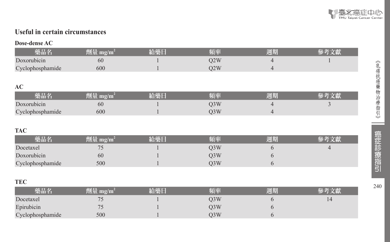

## **Useful in certain circumstances**

#### **Dose-dense AC**

| 藥品名              | 劑量 mg/m $^{\rm 2}$ | 給藥日 | 踊座  | 週期 |  |
|------------------|--------------------|-----|-----|----|--|
| Doxorubicin      | 60                 |     | 02W |    |  |
| Cyclophosphamide | 600                |     | 02W |    |  |
|                  |                    |     |     |    |  |

#### **AC**

|                  |     | 頃率 | 调期 |  |
|------------------|-----|----|----|--|
| Doxorubicin      | 60  |    |    |  |
| Cyclophosphamide | 600 |    |    |  |

#### **TAC**

| 藥品名              | 劑量 mg/m <sup>?</sup> | 经藥日 | 頻率  | 週期 |  |
|------------------|----------------------|-----|-----|----|--|
| Docetaxel        | $\overline{ }$       |     | D3W |    |  |
| Doxorubicin      | 60                   |     | )3W |    |  |
| Cyclophosphamide | 500                  |     | )3W |    |  |

#### **TEC**

| 藥品名              | 劑量 mg/m <sup>i</sup> | 給藥日 | 頻率  | 週期 |  |
|------------------|----------------------|-----|-----|----|--|
| Docetaxel        |                      |     | )3W |    |  |
| Epirubicin       |                      |     | )3W |    |  |
| Cyclophosphamide | 500                  |     | )3W |    |  |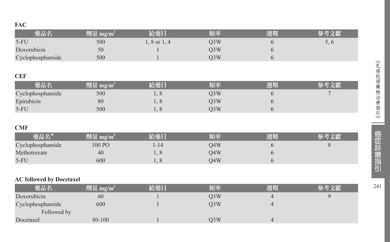#### **FAC**

| 劑量 mg/m <sup>2</sup> | 給藥日          | 頻率  | 週期             | 參考文獻 |
|----------------------|--------------|-----|----------------|------|
| 500                  | 1, 8 or 1, 4 | Q3W | 6              | 5, 6 |
| 50                   |              | Q3W | 6              |      |
| 500                  |              | Q3W | 6              |      |
|                      |              |     |                |      |
|                      |              |     |                |      |
| 劑量 mg/m $^2$         | 給藥日          | 頻率  | 週期             | 參考文獻 |
| 500                  | 1,8          | Q3W | 6              |      |
| 80                   | 1,8          | Q3W | 6              |      |
| 500                  | 1, 8         | Q3W | 6              |      |
|                      |              |     |                |      |
|                      |              |     |                |      |
| 劑量 mg/m <sup>2</sup> | 給藥日          | 頻率  | 週期             | 參考文獻 |
| 100 PO               | $1 - 14$     | Q4W | 6              | 8    |
| 40                   | 1,8          | Q4W | 6              |      |
| 600                  | 1, 8         | Q4W | 6              |      |
|                      |              |     |                |      |
|                      |              |     |                |      |
| 劑量 mg/m <sup>2</sup> | 給藥日          | 頻率  | 週期             | 參考文獻 |
| 60                   |              | Q3W | $\overline{4}$ | 9    |
| 600                  |              | Q3W | $\overline{4}$ |      |
|                      |              |     |                |      |
| 80-100               | 1            | Q3W | $\overline{4}$ |      |
|                      |              |     |                |      |

《乳癌抗癌藥物治療指引》 《乳癌抗癌藥物治療指引》 | 癌症診療指引 41

241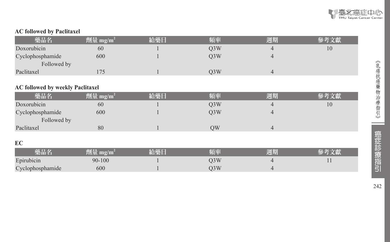

#### **AC followed by Paclitaxel**

| 藥品名              | $ \hat{p} \hat{p} \leq m_2/m^2$ | 給藥日 | 頻率               | 週期 | 參考文獻 |
|------------------|---------------------------------|-----|------------------|----|------|
| Doxorubicin      | 60                              |     | O <sub>3</sub> W |    | 10   |
| Cyclophosphamide | 600                             |     | O3W              |    |      |
| Followed by      |                                 |     |                  |    |      |
| Paclitaxel       |                                 |     | O3W              |    |      |

#### **AC followed by weekly Paclitaxel**

| 藥品名              | 劑量 mg/m <sup>2</sup> | 給藥日 | 頻率               | 週期 | 參考文獻 |
|------------------|----------------------|-----|------------------|----|------|
| Doxorubicin      | 60                   |     | Q <sub>3</sub> W | 4  | 10   |
| Cyclophosphamide | 600                  |     | O3W              | 4  |      |
| Followed by      |                      |     |                  |    |      |
| Paclitaxel       | 80                   |     | OW               | 4  |      |
|                  |                      |     |                  |    |      |

#### **EC**

| 樂品名              |        | <b>公靈厂</b> | 周期 |  |
|------------------|--------|------------|----|--|
| Epirubicin       | 90-100 |            |    |  |
| Cyclophosphamide | 600    |            |    |  |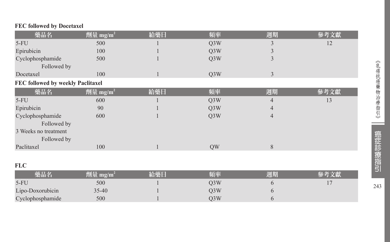#### **FEC followed by Docetaxel**

| 藥品名                               | 劑量 mg/m <sup>2</sup> | 給藥日 | 頻率               | 週期             | 參考文獻 |
|-----------------------------------|----------------------|-----|------------------|----------------|------|
| $5-FU$                            | 500                  |     | Q <sub>3</sub> W | 3              | 12   |
| Epirubicin                        | 100                  |     | Q3W              | 3              |      |
| Cyclophosphamide                  | 500                  |     | Q3W              | 3              |      |
| Followed by                       |                      |     |                  |                |      |
| Docetaxel                         | 100                  |     | Q3W              | 3              |      |
| FEC followed by weekly Paclitaxel |                      |     |                  |                |      |
| 藥品名                               | 劑量 mg/m <sup>2</sup> | 給藥日 | 頻率               | 週期             | 參考文獻 |
| $5-FU$                            | 600                  |     | Q3W              | 4              | 13   |
| Epirubicin                        | 90                   |     | Q3W              | $\overline{4}$ |      |
| Cyclophosphamide                  | 600                  |     | Q3W              | $\overline{4}$ |      |
| Followed by                       |                      |     |                  |                |      |
| 3 Weeks no treatment              |                      |     |                  |                |      |
| Followed by                       |                      |     |                  |                |      |
| Paclitaxel                        | 100                  |     | QW               | 8              |      |
|                                   |                      |     |                  |                |      |
| <b>FLC</b>                        |                      |     |                  |                |      |
| 藥品名                               | 劑量 mg/m <sup>2</sup> | 給藥日 | 頻率               | 週期             | 參考文獻 |
| $5-FU$                            | 500                  |     | Q3W              | 6              | 17   |
| Lipo-Doxorubicin                  | $35 - 40$            |     | Q <sub>3</sub> W | 6              |      |
| Cyclophosphamide                  | 500                  |     | Q3W              | 6              |      |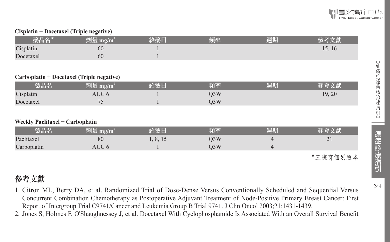#### **Cisplatin + Docetaxel (Triple negative)**

| 藥品名*                                      | 劑量 mg/m <sup>2</sup> | 給藥日      | 頻率               | 週期             | 參考文獻            |
|-------------------------------------------|----------------------|----------|------------------|----------------|-----------------|
| Cisplatin                                 | 60                   |          |                  |                | 15, 16          |
| Docetaxel                                 | 60                   |          |                  |                |                 |
|                                           |                      |          |                  |                |                 |
| Carboplatin + Docetaxel (Triple negative) |                      |          |                  |                |                 |
| 藥品名                                       | 劑量 mg/m <sup>2</sup> | 給藥日      | 頻率               | 週期             | 參考文獻            |
| Cisplatin                                 | AUC 6                |          | Q <sub>3</sub> W |                | 19, 20          |
| Docetaxel                                 | 75                   |          | Q <sub>3</sub> W |                |                 |
|                                           |                      |          |                  |                |                 |
| <b>Weekly Paclitaxel + Carboplatin</b>    |                      |          |                  |                |                 |
| 藥品名                                       | 劑量 mg/m <sup>2</sup> | 給藥日      | 頻率               | 週期             | 參考文獻            |
| Paclitaxel                                | 80                   | 1, 8, 15 | Q <sub>3</sub> W | 4              | 21              |
| Carboplatin                               | AUC 6                |          | Q <sub>3</sub> W | $\overline{4}$ |                 |
|                                           |                      |          |                  |                | ★ 二 院 右 佃 別 断 木 |

★三院有個別版本

# 參考文獻

- 1. Citron ML, Berry DA, et al. Randomized Trial of Dose-Dense Versus Conventionally Scheduled and Sequential Versus Concurrent Combination Chemotherapy as Postoperative Adjuvant Treatment of Node-Positive Primary Breast Cancer: First Report of Intergroup Trial C9741/Cancer and Leukemia Group B Trial 9741. J Clin Oncol 2003;21:1431-1439.
- 2. Jones S, Holmes F, O'Shaughnessey J, et al. Docetaxel With Cyclophosphamide Is Associated With an Overall Survival Benefit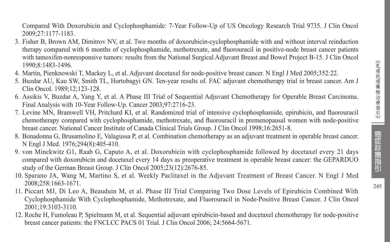245

Compared With Doxorubicin and Cyclophosphamide: 7-Year Follow-Up of US Oncology Research Trial 9735. J Clin Oncol 2009;27:1177-1183.

- 3. Fisher B, Brown AM, Dimitrov NV, et al. Two months of doxorubicin-cyclophosphamide with and without interval reinduction therapy compared with 6 months of cyclophosphamide, methotrexate, and fluorouracil in positive-node breast cancer patients with tamoxifen-nonresponsive tumors: results from the National Surgical Adjuvant Breast and Bowel Project B-15. J Clin Oncol 1990;8:1483-1496.
- 4. Martin, Pienknowski T, Mackey L, et al. Adjuvant docetaxel for node-positive breast cancer. N Engl J Med 2005;352:22.
- 5. Buzdar AU, Kau SW, Smith TL, Hortobagyi GN. Ten-year results of. FAC adjuvant chemotherapy trial in breast cancer. Am J Clin Oncol. 1989;12;123-128.
- 6. Assikis V, Buzdar A, Yang Y, et al. A Phase III Trial of Sequential Adjuvant Chemotherapy for Operable Breast Carcinoma. Final Analysis with 10-Year Follow-Up. Cancer 2003;97:2716-23.
- 7. Levine MN, Bramwell VH, Pritchard KI, et al. Randomized trial of intensive cyclophosphamide, epirubicin, and fluorouracil chemotherapy compared with cyclophosphamide, methotrexate, and fluorouracil in premenopausal women with node-positive breast cancer. National Cancer Institute of Canada Clinical Trials Group. J Clin Oncol 1998;16:2651-8.
- 8. Bonadonna G, Brusamolino E, Valagussa P, et al. Combination chemotherapy as an adjuvant treatment in operable breast cancer. N Engl J Med. 1976;294(8):405-410.
- 9. von Minckwitz G1, Raab G, Caputo A, et al. Doxorubicin with cyclophosphamide followed by docetaxel every 21 days compared with doxorubicin and docetaxel every 14 days as preoperative treatment in operable breast cancer: the GEPARDUO study of the German Breast Group. J Clin Oncol 2005;23(12):2676-85.
- 10. Sparano JA, Wang M, Martino S, et al. Weekly Paclitaxel in the Adjuvant Treatment of Breast Cancer. N Engl J Med 2008;258:1663-1671.
- 11. Piccart MJ, Di Leo A, Beauduin M, et al. Phase III Trial Comparing Two Dose Levels of Epirubicin Combined With Cyclophosphamide With Cyclophosphamide, Methotrexate, and Fluorouracil in Node-Positive Breast Cancer. J Clin Oncol 2001;19:3103-3110.
- 12. Roche H, Fumoleau P, Spielmann M, et al. Sequential adjuvant epirubicin-based and docetaxel chemotherapy for node-positive breast cancer patients: the FNCLCC PACS 01 Trial. J Clin Oncol 2006; 24:5664-5671.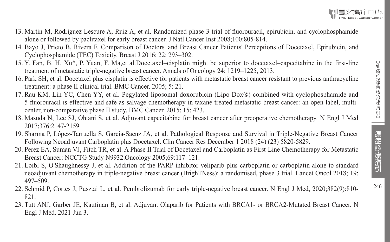癌症診療指引



- 13. Martin M, Rodriguez-Lescure A, Ruiz A, et al. Randomized phase 3 trial of fluorouracil, epirubicin, and cyclophosphamide alone or followed by paclitaxel for early breast cancer. J Natl Cancer Inst 2008;100:805-814.
- 14. Bayo J, Prieto B, Rivera F. Comparison of Doctors' and Breast Cancer Patients' Perceptions of Docetaxel, Epirubicin, and Cyclophosphamide (TEC) Toxicity. Breast J 2016; 22: 293–302.
- 15. Y. Fan, B. H. Xu\*, P. Yuan, F. Ma,et al.Docetaxel–cisplatin might be superior to docetaxel–capecitabine in the first-line treatment of metastatic triple-negative breast cancer. Annals of Oncology 24: 1219–1225, 2013.
- 16. Park SH, et al. Docetaxel plus cisplatin is effective for patients with metastatic breast cancer resistant to previous anthracycline treatment: a phase II clinical trial. BMC Cancer. 2005; 5: 21.
- 17. Rau KM, Lin YC, Chen YY, et al. Pegylated liposomal doxorubicin (Lipo-Dox®) combined with cyclophosphamide and 5-fluorouracil is effective and safe as salvage chemotherapy in taxane-treated metastatic breast cancer: an open-label, multicenter, non-comparative phase II study. BMC Cancer. 2015; 15: 423.
- 18. Masuda N, Lee SJ, Ohtani S, et al. Adjuvant capecitabine for breast cancer after preoperative chemotherapy. N Engl J Med 2017;376:2147-2159.
- 19. Sharma P, López-Tarruella S, García-Saenz JA, et al. Pathological Response and Survival in Triple-Negative Breast Cancer Following Neoadjuvant Carboplatin plus Docetaxel. Clin Cancer Res December 1 2018 (24) (23) 5820-5829.
- 20. Perez EA, Suman VJ, Fitch TR, et al. A Phase II Trial of Docetaxel and Carboplatin as First-Line Chemotherapy for Metastatic Breast Cancer: NCCTG Study N9932.Oncology 2005;69:117–121.
- 21. Loibl S, O'Shaughnessy J, et al. Addition of the PARP inhibitor veliparib plus carboplatin or carboplatin alone to standard neoadjuvant chemotherapy in triple-negative breast cancer (BrighTNess): a randomised, phase 3 trial. Lancet Oncol 2018; 19: 497–509.
- 22. Schmid P, Cortes J, Pusztai L, et al. Pembrolizumab for early triple-negative breast cancer. N Engl J Med, 2020;382(9):810- 821.
- 23. Tutt ANJ, Garber JE, Kaufman B, et al. Adjuvant Olaparib for Patients with BRCA1- or BRCA2-Mutated Breast Cancer. N Engl J Med. 2021 Jun 3.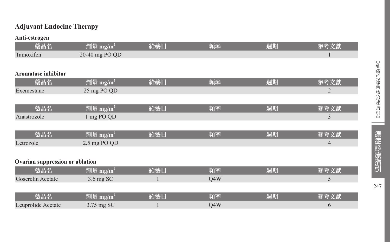## **Adjuvant Endocine Therapy**

#### **Anti-estrogen**

| 藥品名                             | 劑量 mg/m <sup>2</sup>           | 給藥日 | 頻率  | 週期 | 參考文獻           |
|---------------------------------|--------------------------------|-----|-----|----|----------------|
| Tamoxifen                       | 20-40 mg PO QD                 |     |     |    | 1              |
|                                 |                                |     |     |    |                |
| <b>Aromatase inhibitor</b>      |                                |     |     |    |                |
| 藥品名                             | 劑量 mg/m <sup>2</sup>           | 給藥日 | 頻率  | 週期 | 參考文獻           |
| Exemestane                      | 25 mg PO QD                    |     |     |    | $\overline{2}$ |
|                                 |                                |     |     |    |                |
| 藥品名                             | 劑量 mg/m <sup>2</sup>           | 給藥日 | 頻率  | 週期 | 參考文獻           |
| Anastrozole                     | 1 mg PO QD                     |     |     |    | 3              |
|                                 |                                |     |     |    |                |
| 藥品名                             | 劑量 mg/m <sup>2</sup>           | 給藥日 | 頻率  | 週期 | 參考文獻           |
| Letrozole                       | 2.5 mg PO QD                   |     |     |    | $\overline{4}$ |
|                                 |                                |     |     |    |                |
| Ovarian suppression or ablation |                                |     |     |    |                |
| 藥品名                             | $\sqrt{m}$ 量 mg/m <sup>2</sup> | 給藥日 | 頻率  | 週期 | 參考文獻           |
| Goserelin Acetate               | 3.6 mg SC                      | 1   | Q4W |    | 5              |
|                                 |                                |     |     |    |                |
| 藥品名                             | 劑量 mg/m <sup>2</sup>           | 給藥日 | 頻率  | 週期 | 參考文獻           |
| Leuprolide Acetate              | 3.75 mg SC                     |     | Q4W |    | 6              |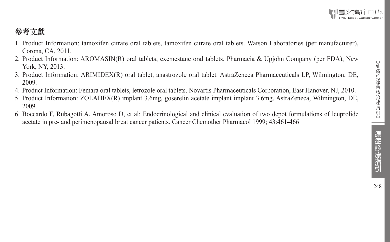# 參考文獻

- 1. Product Information: tamoxifen citrate oral tablets, tamoxifen citrate oral tablets. Watson Laboratories (per manufacturer), Corona, CA, 2011.
- 2. Product Information: AROMASIN(R) oral tablets, exemestane oral tablets. Pharmacia & Upjohn Company (per FDA), New York, NY, 2013.
- 3. Product Information: ARIMIDEX(R) oral tablet, anastrozole oral tablet. AstraZeneca Pharmaceuticals LP, Wilmington, DE, 2009.
- 4. Product Information: Femara oral tablets, letrozole oral tablets. Novartis Pharmaceuticals Corporation, East Hanover, NJ, 2010.
- 5. Product Information: ZOLADEX(R) implant 3.6mg, goserelin acetate implant implant 3.6mg. AstraZeneca, Wilmington, DE, 2009.
- 6. Boccardo F, Rubagotti A, Amoroso D, et al: Endocrinological and clinical evaluation of two depot formulations of leuprolide acetate in pre- and perimenopausal breat cancer patients. Cancer Chemother Pharmacol 1999; 43:461-466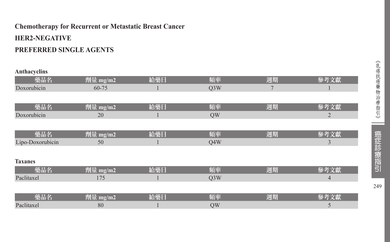# **Chemotherapy for Recurrent or Metastatic Breast Cancer HER2-NEGATIVE PREFERRED SINGLE AGENTS**

#### **Anthacyclins**

| 藥品名              | 劑量 mg/m2 | 給藥日 | 頻率               | 週期             | 參考文獻           |
|------------------|----------|-----|------------------|----------------|----------------|
| Doxorubicin      | 60-75    |     | Q <sub>3</sub> W | $\overline{7}$ |                |
|                  |          |     |                  |                |                |
| 藥品名              | 劑量 mg/m2 | 給藥日 | 頻率               | 週期             | 參考文獻           |
| Doxorubicin      | 20       |     | QW               |                | $\overline{2}$ |
|                  |          |     |                  |                |                |
| 藥品名              | 劑量 mg/m2 | 給藥日 | 頻率               | 週期             | 參考文獻           |
| Lipo-Doxorubicin | 50       |     | Q4W              |                | 3              |
|                  |          |     |                  |                |                |
| <b>Taxanes</b>   |          |     |                  |                |                |
| 藥品名              | 劑量 mg/m2 | 給藥日 | 頻率               | 週期             | 參考文獻           |
| Paclitaxel       | 175      |     | Q <sub>3</sub> W |                | $\overline{4}$ |
|                  |          |     |                  |                |                |
| 藥品名              | 劑量 mg/m2 | 給藥日 | 頻率               | 週期             | 參考文獻           |
| Paclitaxel       | 80       |     | QW               |                | 5              |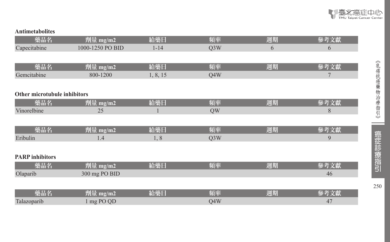

#### **Antimetabolites**

| 藥品名                                 | 劑量 mg/m2         | 給藥日      | 頻率               | 週期 | 參考文獻 |
|-------------------------------------|------------------|----------|------------------|----|------|
| Capecitabine                        | 1000-1250 PO BID | $1 - 14$ | Q <sub>3</sub> W | 6  | 6    |
|                                     |                  |          |                  |    |      |
| 藥品名                                 | 劑量 mg/m2         | 給藥日      | 頻率               | 週期 | 參考文獻 |
| Gemcitabine                         | 800-1200         | 1, 8, 15 | Q4W              |    | 7    |
|                                     |                  |          |                  |    |      |
| <b>Other microtubule inhibitors</b> |                  |          |                  |    |      |
| 藥品名                                 | 劑量 mg/m2         | 給藥日      | 頻率               | 週期 | 參考文獻 |
| Vinorelbine                         | 25               |          | QW               |    | 8    |
|                                     |                  |          |                  |    |      |
| 藥品名                                 | 劑量 mg/m2         | 給藥日      | 頻率               | 週期 | 參考文獻 |
| Eribulin                            | 1.4              | 1,8      | Q <sub>3</sub> W |    | 9    |
|                                     |                  |          |                  |    |      |
| <b>PARP</b> inhibitors              |                  |          |                  |    |      |
| 藥品名                                 | 劑量 mg/m2         | 給藥日      | 頻率               | 週期 | 參考文獻 |
| Olaparib                            | 300 mg PO BID    |          |                  |    | 46   |
|                                     |                  |          |                  |    |      |
| 藥品名                                 | 劑量 mg/m2         | 給藥日      | 頻率               | 週期 | 參考文獻 |
| Talazoparib                         | 1 mg PO QD       |          | Q4W              |    | 47   |

《乳癌抗癌藥物治療指引》 《乳癌抗癌藥物治療指引》 | 癌症診療指引 250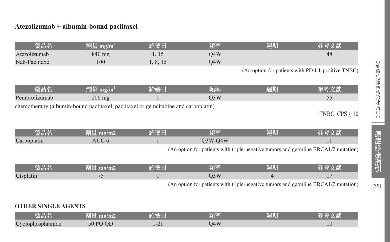#### **Atezolizumab + albumin-bound paclitaxel**

| 藥品名            | 劑量 mg/m | 給藥日                | 頻率  | 週期 |    |
|----------------|---------|--------------------|-----|----|----|
| Atezolizumab   | 840 mg  | $\overline{1}$     | 04W |    | 48 |
| Nab-Paclitaxel | 100     | $\circ$<br>1, 0, 1 | 04W |    |    |

(An option for patients with PD-L1-positive TNBC)

| 藥品名           | $^7$ 劑量 mg/m <sup>2</sup>                                                           | 給藥日 | 脜桽  | 週期 | 參考文獻                |
|---------------|-------------------------------------------------------------------------------------|-----|-----|----|---------------------|
| Pembrolizumab | $200 \text{ mg}$                                                                    |     | O3W |    |                     |
|               | chemotherapy (albumin-bound paclitaxel, paclitaxel, or gemcitabine and carboplatin) |     |     |    |                     |
|               |                                                                                     |     |     |    | TNBC, $CPS \geq 10$ |

| 樂品名         |  | 美国                                                                                        | 周期 |             |
|-------------|--|-------------------------------------------------------------------------------------------|----|-------------|
| Carboplatin |  |                                                                                           |    |             |
|             |  | (An option for patients with triple-negative tumors and germline BRCA1/ $\hat{\triangle}$ |    | ! mutation) |

| 樂品名      | <u>чши.</u> | __ | - 62 | l <del>e s</del><br>: HU<br>والمتواصد |  |
|----------|-------------|----|------|---------------------------------------|--|
| Cienlan. | $-$         |    |      |                                       |  |

(An option for patients with triple-negative tumors and germline BRCA1/2 mutation)

#### **OTHER SINGLE AGENTS**

| 藥品名              | 831 - 三月<br>$\text{m} \text{g}/\text{m}$ 2<br>判里 | 給藥日               | 頻率                     | 週期 |                |
|------------------|--------------------------------------------------|-------------------|------------------------|----|----------------|
| Cyclophosphamide | $\overline{OC}$<br>50 PO                         | $\sim$ 1<br>- - - | $\overline{AY}$<br>י ד |    | 1 <sub>0</sub> |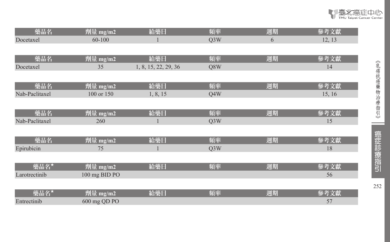| 藥品名            | 劑量 mg/m2      | 給藥日                  | 頻率               | 週期 | 參考文獻   |
|----------------|---------------|----------------------|------------------|----|--------|
| Docetaxel      | 60-100        |                      | Q <sub>3</sub> W | 6  | 12, 13 |
|                |               |                      |                  |    |        |
| 藥品名            | 劑量 mg/m2      | 給藥日                  | 頻率               | 週期 | 參考文獻   |
| Docetaxel      | 35            | 1, 8, 15, 22, 29, 36 | Q8W              |    | 14     |
|                |               |                      |                  |    |        |
| 藥品名            | 劑量 mg/m2      | 給藥日                  | 頻率               | 週期 | 參考文獻   |
| Nab-Paclitaxel | 100 or 150    | 1, 8, 15             | Q4W              |    | 15, 16 |
|                |               |                      |                  |    |        |
| 藥品名            | 劑量 mg/m2      | 給藥日                  | 頻率               | 週期 | 參考文獻   |
| Nab-Paclitaxel | 260           |                      | Q <sub>3</sub> W |    | 15     |
|                |               |                      |                  |    |        |
| 藥品名            | 劑量 mg/m2      | 給藥日                  | 頻率               | 週期 | 參考文獻   |
| Epirubicin     | 75            |                      | Q <sub>3</sub> W |    | 18     |
|                |               |                      |                  |    |        |
| 藥品名★           | 劑量 mg/m2      | 給藥日                  | 頻率               | 週期 | 參考文獻   |
| Larotrectinib  | 100 mg BID PO |                      |                  |    | 56     |
|                |               |                      |                  |    |        |
| 藥品名★           | 劑量 mg/m2      | 給藥日                  | 頻率               | 週期 | 參考文獻   |
| Entrectinib    | 600 mg QD PO  |                      |                  |    | 57     |

■臺北癌症中心

ł

 $\sim$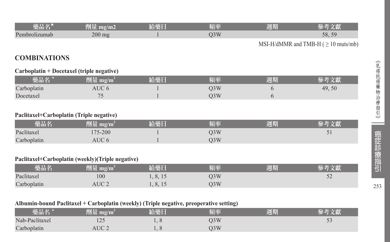| 藥品名*                                     | 劑量 mg/m2                                         | 給藥日      | 頻率  | 週期 | 參考文獻                                      |
|------------------------------------------|--------------------------------------------------|----------|-----|----|-------------------------------------------|
| Pembrolizumab                            | $200$ mg                                         |          | Q3W |    | 58, 59                                    |
|                                          |                                                  |          |     |    | MSI-H/dMMR and TMB-H ( $\geq 10$ muts/mb) |
| <b>COMBINATIONS</b>                      |                                                  |          |     |    |                                           |
|                                          | Carboplatin + Docetaxel (triple negative)        |          |     |    |                                           |
| 藥品名 *                                    | 劑量 mg/m <sup>2</sup>                             | 給藥日      | 頻率  | 週期 | 參考文獻                                      |
| Carboplatin                              | AUC 6                                            |          | Q3W | 6  | 49, 50                                    |
| Docetaxel                                | 75                                               |          | Q3W | 6  |                                           |
| Paclitaxel+Carboplatin (Triple negative) |                                                  |          |     |    |                                           |
| 藥品名                                      | 劑量 mg/m <sup>2</sup>                             | 給藥日      | 頻率  | 週期 | 參考文獻                                      |
| Paclitaxel                               | 175-200                                          |          | Q3W |    | 51                                        |
| Carboplatin                              | AUC <sub>6</sub>                                 |          | Q3W |    |                                           |
|                                          |                                                  |          |     |    |                                           |
|                                          | Paclitaxel+Carboplatin (weekly)(Triple negative) |          |     |    |                                           |
| 藥品名                                      | 劑量 mg/m <sup>2</sup>                             | 給藥日      | 頻率  | 週期 | 參考文獻                                      |
| Paclitaxel                               | 100                                              | 1, 8, 15 | Q3W |    | 52                                        |

#### **Albumin-bound Paclitaxel + Carboplatin (weekly) (Triple negative, preoperative setting)**

| 藥品名/           | tal L⊟<br>mg/m<br><b>AND THE ST</b> | 給藥日                           | 頻率  | 週期 | ☆ 土久 一ヶ時4     |
|----------------|-------------------------------------|-------------------------------|-----|----|---------------|
| Nab-Paclitaxel | $1 - 1$                             | $\mathbf{1} \cdot \mathbf{0}$ | O3W |    | $\sim$ $\sim$ |
| Carboplatin    | AUC <sub>2</sub>                    |                               | O3W |    |               |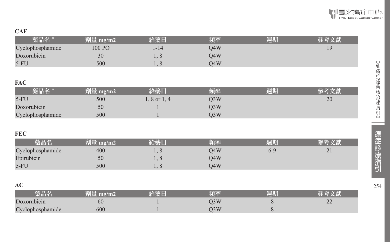#### **CAF**

| $-$              |          |        |     |    |  |
|------------------|----------|--------|-----|----|--|
| 藥品名              | 劑量 mg/m2 | 给樂日    | 頃率  | 週期 |  |
| Cyclophosphamide | $100P$ O | l - 14 | O4W |    |  |
| Doxorubicin      | 30       |        | 04W |    |  |
| $5-FU$           | 500      | . .    | )4W |    |  |

#### **FAC**

| 藥品名 '            | 劑量 mg/m2 | 給藥日            | 頻率  | 週期 | ※ 老 立計 |
|------------------|----------|----------------|-----|----|--------|
| $5-FU$           | 500      | $.8$ or $1, 4$ | J3W |    | 20     |
| Doxorubicin      | 50       |                | )3W |    |        |
| Cyclophosphamide | 500      |                | )3W |    |        |

#### **FEC**

| 藥品名              | 劑量<br>$\mu$ mg/m2 | 給藥 | 頊率  | 週期      | 參考文獻                   |
|------------------|-------------------|----|-----|---------|------------------------|
| Cyclophosphamide | 400               |    | O4W | $6 - 9$ | $\mathcal{D}$ 1<br>∸ ⊥ |
| Epirubicin       | 50                |    | O4W |         |                        |
| $5-FL$           | 500               |    | O4W |         |                        |

#### **AC**

| 爬面名                                    |     | 珀率    | 週期 |                 |
|----------------------------------------|-----|-------|----|-----------------|
| $\mathbf{r}$<br>orubicin               | 60  | VJ VV |    | $\sim$<br>$- -$ |
| $\sqrt{ }$<br>hosphamide<br>$\check{}$ | 600 |       |    |                 |

t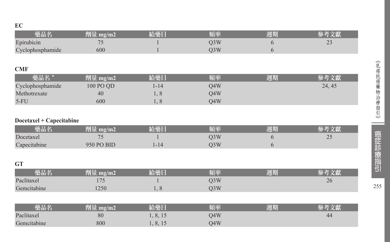| 藥品名                      | 劑量 mg/m2   | 給藥日      | 頻率               | 週期 | 參考文獻   |
|--------------------------|------------|----------|------------------|----|--------|
| Epirubicin               | 75         |          | Q <sub>3</sub> W | 6  | 23     |
| Cyclophosphamide         | 600        |          | Q3W              | 6  |        |
|                          |            |          |                  |    |        |
| <b>CMF</b>               |            |          |                  |    |        |
| 藥品名 *                    | 劑量 mg/m2   | 給藥日      | 頻率               | 週期 | 參考文獻   |
| Cyclophosphamide         | 100 PO QD  | $1 - 14$ | Q4W              |    | 24, 45 |
| Methotrexate             | 40         | 1,8      | Q4W              |    |        |
| $5-FU$                   | 600        | 1, 8     | Q4W              |    |        |
|                          |            |          |                  |    |        |
| Docetaxel + Capecitabine |            |          |                  |    |        |
| 藥品名                      | 劑量 mg/m2   | 給藥日      | 頻率               | 週期 | 參考文獻   |
| Docetaxel                | 75         |          | Q3W              | 6  | 25     |
| Capecitabine             | 950 PO BID | $1 - 14$ | Q <sub>3</sub> W | 6  |        |
|                          |            |          |                  |    |        |
| <b>GT</b>                |            |          |                  |    |        |
| 藥品名                      | 劑量 mg/m2   | 給藥日      | 頻率               | 週期 | 參考文獻   |
| Paclitaxel               | 175        |          | Q3W              |    | 26     |
| Gemcitabine              | 1250       | 1,8      | Q3W              |    |        |
|                          |            |          |                  |    |        |
| 藥品名                      | 劑量 mg/m2   | 給藥日      | 頻率               | 週期 | 參考文獻   |
| Paclitaxel               | 80         | 1, 8, 15 | Q4W              |    | 44     |
| Gemcitabine              | 800        | 1, 8, 15 | Q4W              |    |        |

255

--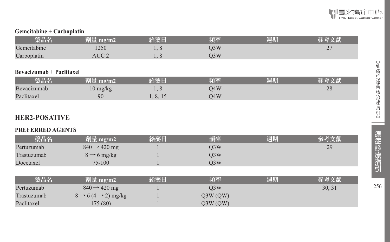

#### **Gemcitabine + Carboplatin**

| 樂品名         | mg/m2 | <b>ARRIVE</b><br>74.<br>™階 | 陌丞  | 週期 |                          |
|-------------|-------|----------------------------|-----|----|--------------------------|
| Gemcitabine | 1250  | $\sim$                     | O3W |    | $\overline{\phantom{a}}$ |
| Carboplatin | TC    | $\sim$<br>. .              | )3W |    |                          |

#### **Bevacizumab + Paclitaxel**

| 藥品名         | 劑量 mg/m2' | 給藥日                | 頻率  | 週期 |    |
|-------------|-----------|--------------------|-----|----|----|
| Bevacizumab | 10 mg/kg  | $\check{ }$        | 04W |    | 28 |
| Paclitaxel  | 90        | $\circ$<br>1, 0, 1 | 04W |    |    |

#### **HER2-POSATIVE**

#### **PREFERRED AGENTS**

| 藥品名         | 劑量 mg/m2                                  | 給藥日 | 頻率               | 週期 | 參考文獻   |
|-------------|-------------------------------------------|-----|------------------|----|--------|
| Pertuzumab  | $840 \rightarrow 420$ mg                  |     | O <sub>3</sub> W |    | 29     |
| Trastuzumab | $8 \rightarrow 6$ mg/kg                   |     | O <sub>3</sub> W |    |        |
| Docetaxel   | $75 - 100$                                |     | O <sub>3</sub> W |    |        |
|             |                                           |     |                  |    |        |
| 藥品名         | 劑量 mg/m2                                  | 給藥日 | 頻率               | 週期 | 參考文獻   |
| Pertuzumab  | $840 \rightarrow 420$ mg                  |     | O <sub>3</sub> W |    | 30, 31 |
| Trastuzumab | $8 \rightarrow 6 (4 \rightarrow 2)$ mg/kg |     | Q3W(QW)          |    |        |
| Paclitaxel  | 175(80)                                   |     | Q3W(QW)          |    |        |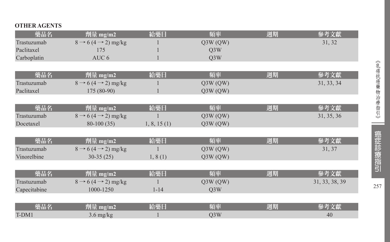#### **OTHER AGENTS**

| 藥品名          | 劑量 mg/m2                                  | 給藥日         | 頻率               | 週期 | 參考文獻           |
|--------------|-------------------------------------------|-------------|------------------|----|----------------|
| Trastuzumab  | $8 \rightarrow 6 (4 \rightarrow 2)$ mg/kg |             | Q3W(QW)          |    | 31, 32         |
| Paclitaxel   | 175                                       |             | O <sub>3</sub> W |    |                |
| Carboplatin  | AUC <sub>6</sub>                          |             | Q <sub>3</sub> W |    |                |
|              |                                           |             |                  |    |                |
| 藥品名          | 劑量 mg/m2                                  | 給藥日         | 頻率               | 週期 | 參考文獻           |
| Trastuzumab  | $8 \rightarrow 6 (4 \rightarrow 2)$ mg/kg |             | Q3W(QW)          |    | 31, 33, 34     |
| Paclitaxel   | $175(80-90)$                              |             | Q3W(QW)          |    |                |
|              |                                           |             |                  |    |                |
| 藥品名          | 劑量 mg/m2                                  | 給藥日         | 頻率               | 週期 | 參考文獻           |
| Trastuzumab  | $8 \rightarrow 6 (4 \rightarrow 2)$ mg/kg |             | Q3W(QW)          |    | 31, 35, 36     |
| Docetaxel    | $80-100(35)$                              | 1, 8, 15(1) | Q3W(QW)          |    |                |
|              |                                           |             |                  |    |                |
| 藥品名          | 劑量 mg/m2                                  | 給藥日         | 頻率               | 週期 | 參考文獻           |
| Trastuzumab  | $8 \rightarrow 6 (4 \rightarrow 2)$ mg/kg |             | Q3W(QW)          |    | 31, 37         |
| Vinorelbine  | $30-35(25)$                               | 1, 8(1)     | Q3W(QW)          |    |                |
|              |                                           |             |                  |    |                |
| 藥品名          | 劑量 mg/m2                                  | 給藥日         | 頻率               | 週期 | 參考文獻           |
| Trastuzumab  | $8 \rightarrow 6 (4 \rightarrow 2)$ mg/kg |             | Q3W(QW)          |    | 31, 33, 38, 39 |
| Capecitabine | 1000-1250                                 | $1 - 14$    | Q <sub>3</sub> W |    |                |
|              |                                           |             |                  |    |                |
| 藥品名          | 劑量 mg/m2                                  | 給藥日         | 頻率               | 週期 | 參考文獻           |
| T-DM1        | $3.6$ mg/kg                               |             | Q <sub>3</sub> W |    | 40             |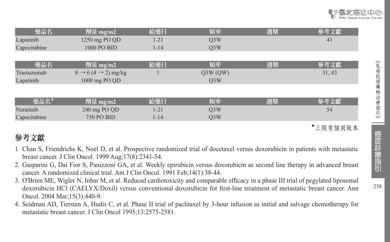| 藥品名          | 劑量 mg/m2                                  | 給藥日      | 頻率               | 週期 | 參考文獻   |
|--------------|-------------------------------------------|----------|------------------|----|--------|
| Lapatinib    | 1250 mg PO QD                             | $1 - 21$ | Q <sub>3</sub> W |    | 41     |
| Capecitabine | 1000 PO BID                               | $1 - 14$ | O <sub>3</sub> W |    |        |
|              |                                           |          |                  |    |        |
| 藥品名          | 劑量 mg/m2                                  | 給藥日      | 頻率               | 週期 | 參考文獻   |
| Trastuzumab  | $8 \rightarrow 6 (4 \rightarrow 2)$ mg/kg |          | Q3W(QW)          |    | 31, 43 |
| Lapatinib    | 1000 mg PO QD                             |          | O <sub>3</sub> W |    |        |
|              |                                           |          |                  |    |        |
| 藥品名*         | 劑量 mg/m2                                  | 給藥日      | 頻率               | 週期 | 參考文獻   |
|              |                                           |          |                  |    |        |
| Neratinib    | 240 mg PO QD                              | $1 - 21$ | O <sub>3</sub> W |    | 54     |
| Capecitabine | <b>750 PO BID</b>                         | $1 - 14$ | O <sub>3</sub> W |    |        |

★三院有個別版本

# 參考文獻

- 1. Chan S, Friendrichs K, Noel D, et al. Prospective randomized trial of docetaxel versus doxorubicin in patients with metastatic breast cancer. J Clin Oncol. 1999 Aug;17(8):2341-54.
- 2. Gasparini G, Dai Fior S, Panizzoni GA, et al. Weekly epirubicin versus doxorubicin as second line therapy in advanced breast cancer. A randomized clinical trial. Am J Clin Oncol. 1991 Feb;14(1):38-44.
- 3. O'Brien ME, Wigler N, Inbar M, et al. Reduced cardiotoxicity and comparable efficacy in a phase III trial of pegylated liposomal doxorubicin HCl (CAELYX/Doxil) versus conventional doxorubicin for first-line treatment of metastatic breast cancer. Ann Oncol. 2004 Mar;15(3):440-9.
- 4. Seidman AD, Tiersten A, Hudis C, et al. Phase II trial of paclitaxel by 3-hour infusion as initial and salvage chemotherapy for metastatic breast cancer. J Clin Oncol 1995;13:2575-2581.

癌症診療指引

《乳癌抗癌藥物治療指引》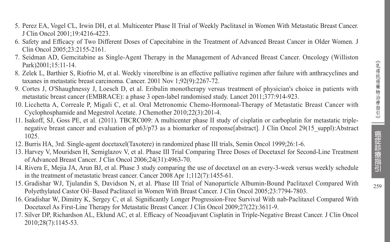- 5. Perez EA, Vogel CL, Irwin DH, et al. Multicenter Phase II Trial of Weekly Paclitaxel in Women With Metastatic Breast Cancer. J Clin Oncol 2001;19:4216-4223.
- 6. Safety and Efficacy of Two Different Doses of Capecitabine in the Treatment of Advanced Breast Cancer in Older Women. J Clin Oncol 2005;23:2155-2161.
- 7. Seidman AD, Gemcitabine as Single-Agent Therapy in the Management of Advanced Breast Cancer. Oncology (Williston Park)2001:15:11-14.
- 8. Zelek L, Barthier S, Riofrio M, et al. Weekly vinorelbine is an effective palliative regimen after failure with anthracyclines and taxanes in metastatic breast carcinoma. Cancer. 2001 Nov 1;92(9):2267-72.
- 9. Cortes J, O'Shaughnessy J, Loesch D, et al. Eribulin monotherapy versus treatment of physician's choice in patients with metastatic breast cancer (EMBRACE): a phase 3 open-label randomised study. Lancet 2011;377:914-923.
- 10. Licchetta A, Correale P, Migali C, et al. Oral Metronomic Chemo-Hormonal-Therapy of Metastatic Breast Cancer with Cyclophosphamide and Megestrol Acetate. J Chemother 2010;22(3):201-4.
- 11. Isakoff, SJ, Goss PE, et al. (2011). TBCRC009: A multicenter phase II study of cisplatin or carboplatin for metastatic triplenegative breast cancer and evaluation of  $p63/p73$  as a biomarker of response[abstract]. J Clin Oncol 29(15 suppl):Abstract 1025.
- 12. Burris HA, 3rd. Single-agent docetaxel(Taxotere) in randomized phase III trials, Semin Oncol 1999;26:1-6.
- 13. Harvey V, Mouridsen H, Semiglazov V, et al. Phase III Trial Comparing Three Doses of Docetaxel for Second-Line Treatment of Advanced Breast Cancer. J Clin Oncol 2006;24(31):4963-70.
- 14. Rivera E, Mejia JA, Arun BJ, et al. Phase 3 study comparing the use of docetaxel on an every-3-week versus weekly schedule in the treatment of metastatic breast cancer. Cancer 2008 Apr 1;112(7):1455-61.
- 15. Gradishar WJ, Tjulandin S, Davidson N, et al. Phase III Trial of Nanoparticle Albumin-Bound Paclitaxel Compared With Polyethylated Castor Oil–Based Paclitaxel in Women With Breast Cancer. J Clin Oncol 2005;23:7794-7803.
- 16. Gradishar W, Dimitry K, Sergey C, et al. Significantly Longer Progression-Free Survival With nab-Paclitaxel Compared With Docetaxel As First-Line Therapy for Metastatic Breast Cancer. J Clin Oncol 2009;27(22):3611-9.
- 17. Silver DP, Richardson AL, Eklund AC, et al. Efficacy of Neoadjuvant Cisplatin in Triple-Negative Breast Cancer. J Clin Oncol 2010;28(7):1145-53.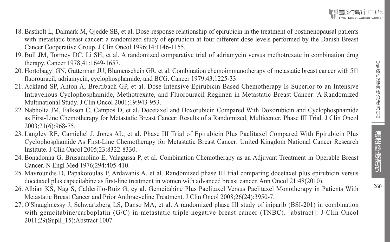癌症診療指引



- 18. Bastholt L, Dalmark M, Gjedde SB, et al. Dose-response relationship of epirubicin in the treatment of postmenopausal patients with metastatic breast cancer: a randomized study of epirubicin at four different dose levels performed by the Danish Breast Cancer Cooperative Group. J Clin Oncol 1996;14:1146-1155.
- 19. Bull JM, Tormey DC, Li SH, et al. A randomized comparative trial of adriamycin versus methotrexate in combination drug therapy. Cancer 1978;41:1649-1657.
- 20. Hortobagyi GN, Gutterman JU, Blumenschein GR, et al. Combination chemoimmunotherapy of metastatic breast cancer with  $5\degree$ fluorouracil, adriamycin, cyclophosphamide, and BCG. Cancer 1979;43:1225-33.
- 21. Ackland SP, Anton A, Breitibach GP, et al. Dose-Intensive Epirubicin-Based Chemotherapy Is Superior to an Intensive Intravenous Cyclophosphamide, Methotrexate, and Fluorouracil Regimen in Metastatic Breast Cancer: A Randomized Multinational Study. J Clin Oncol 2001;19:943-953.
- 22. Nabholtz JM, Falkson C, Campos D, et al. Docetaxel and Doxorubicin Compared With Doxorubicin and Cyclophosphamide as First-Line Chemotherapy for Metastatic Breast Cancer: Results of a Randomized, Multicenter, Phase III Trial. J Clin Oncol 2003;21(6):968-75.
- 23. Langley RE, Camichel J, Jones AL, et al. Phase III Trial of Epirubicin Plus Paclitaxel Compared With Epirubicin Plus Cyclophosphamide As First-Line Chemotherapy for Metastatic Breast Cancer: United Kingdom National Cancer Research Institute. J Clin Oncol 2005;23:8322-8330.
- 24. Bonadonna G, Brusamolino E, Valagussa P, et al. Combination Chemotherapy as an Adjuvant Treatment in Operable Breast Cancer. N Engl Med 1976;294:405-410.
- 25. Mavroundis D, Papakotoulas P, Ardavanis A, et al. Randomized phase III trial comparing docetaxel plus epirubicin versus docetaxel plus capecitabine as first-line treatment in women with advanced breast cancer. Ann Oncol 21:48(2010).
- 26. Albian KS, Nag S, Calderillo-Ruiz G, ey al. Gemcitabine Plus Paclitaxel Versus Paclitaxel Monotherapy in Patients With Metastatic Breast Cancer and Prior Anthracycline Treatment. J Clin Oncol 2008;26(24):3950-7.
- 27. O'Shaughnessy J, Schwartzberg LS, Danso MA, et al. A randomized phase III study of iniparib (BSI-201) in combination with gemcitabine/carboplatin (G/C) in metastatic triple-negative breast cancer (TNBC). [abstract]. J Clin Oncol 2011;29(Supll\_15):Abstract 1007.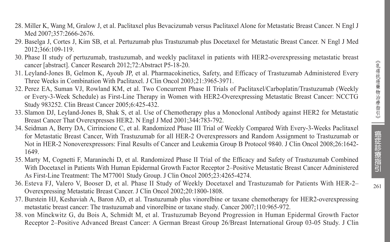- 28. Miller K, Wang M, Gralow J, et al. Paclitaxel plus Bevacizumab versus Paclitaxel Alone for Metastatic Breast Cancer. N Engl J Med 2007:357:2666-2676.
- 29. Baselga J, Cortes J, Kim SB, et al. Pertuzumab plus Trastuzumab plus Docetaxel for Metastatic Breast Cancer. N Engl J Med 2012;366:109-119.
- 30. Phase II study of pertuzumab, trastuzumab, and weekly paclitaxel in patients with HER2-overexpressing metastatic breast cancer [abstract]. Cancer Research 2012;72:Abstract P5-18-20.
- 31. Leyland-Jones B, Gelmon K, Ayoub JP, et al. Pharmacokinetics, Safety, and Efficacy of Trastuzumab Administered Every Three Weeks in Combination With Paclitaxel. J Clin Oncol 2003;21:3965-3971.
- 32. Perez EA, Suman VJ, Rowland KM, et al. Two Concurrent Phase II Trials of Paclitaxel/Carboplatin/Trastuzumab (Weekly or Every-3-Week Schedule) as First-Line Therapy in Women with HER2-Overexpressing Metastatic Breast Cancer: NCCTG Study 983252. Clin Breast Cancer 2005;6:425-432.
- 33. Slamon DJ, Leyland-Jones B, Shak S, et al. Use of Chemotherapy plus a Monoclonal Antibody against HER2 for Metastatic Breast Cancer That Overexpresses HER2. N Engl J Med 2001;344:783-792.
- 34. Seidman A, Berry DA, Cirrincione C, et al. Randomized Phase III Trial of Weekly Compared With Every-3-Weeks Paclitaxel for Metastatic Breast Cancer, With Trastuzumab for all HER-2 Overexpressors and Random Assignment to Trastuzumab or Not in HER-2 Nonoverexpressors: Final Results of Cancer and Leukemia Group B Protocol 9840. J Clin Oncol 2008;26:1642- 1649.
- 35. Marty M, Cognetti F, Maraninchi D, et al. Randomized Phase II Trial of the Efficacy and Safety of Trastuzumab Combined With Docetaxel in Patients With Human Epidermal Growth Factor Receptor 2–Positive Metastatic Breast Cancer Administered As First-Line Treatment: The M77001 Study Group. J Clin Oncol 2005;23:4265-4274.
- 36. Esteva FJ, Valero V, Booser D, et al. Phase II Study of Weekly Docetaxel and Trastuzumab for Patients With HER-2– Overexpressing Metastatic Breast Cancer. J Clin Oncol 2002;20:1800-1808.
- 37. Burstein HJ, Keshaviah A, Baron AD, et al. Trastuzumab plus vinorelbine or taxane chemotherapy for HER2-overexpressing metastatic breast cancer: The trastuzumab and vinorelbine or taxane study. Cancer 2007;110:965-972.
- 38. von Minckwitz G, du Bois A, Schmidt M, et al. Trastuzumab Beyond Progression in Human Epidermal Growth Factor Receptor 2–Positive Advanced Breast Cancer: A German Breast Group 26/Breast International Group 03-05 Study. J Clin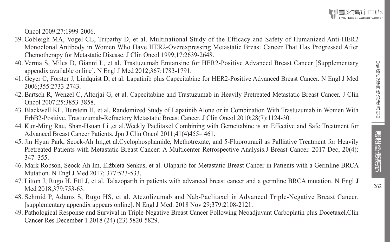Oncol 2009;27:1999-2006.

- 39. Cobleigh MA, Vogel CL, Tripathy D, et al. Multinational Study of the Efficacy and Safety of Humanized Anti-HER2 Monoclonal Antibody in Women Who Have HER2-Overexpressing Metastatic Breast Cancer That Has Progressed After Chemotherapy for Metastatic Disease. J Clin Oncol 1999;17:2639-2648.
- 40. Verma S, Miles D, Gianni L, et al. Trastuzumab Emtansine for HER2-Positive Advanced Breast Cancer [Supplementary appendix available online]. N Engl J Med 2012;367:1783-1791.
- 41. Geyer C, Forster J, Lindquist D, et al. Lapatinib plus Capecitabine for HER2-Positive Advanced Breast Cancer. N Engl J Med 2006;355:2733-2743.
- 42. Bartsch R, Wenzel C, Altorjai G, et al. Capecitabine and Trastuzumab in Heavily Pretreated Metastatic Breast Cancer. J Clin Oncol 2007;25:3853-3858.
- 43. Blackwell KL, Burstein H, et al. Randomized Study of Lapatinib Alone or in Combination With Trastuzumab in Women With ErbB2-Positive, Trastuzumab-Refractory Metastatic Breast Cancer. J Clin Oncol 2010;28(7):1124-30.
- 44. Kun-Ming Rau, Shan-Hsuan Li ,et al.Weekly Paclitaxel Combining with Gemcitabine is an Effective and Safe Treatment for Advanced Breast Cancer Patients. Jpn J Clin Oncol 2011;41(4)455– 461.
- 45. Jin Hyun Park, Seock-Ah Im,,et al.Cyclophosphamide, Methotrexate, and 5-Fluorouracil as Palliative Treatment for Heavily Pretreated Patients with Metastatic Breast Cancer: A Multicenter Retrospective Analysis.J Breast Cancer. 2017 Dec; 20(4): 347–355.
- 46. Mark Robson, Seock-Ah Im, Elżbieta Senkus, et al. Olaparib for Metastatic Breast Cancer in Patients with a Germline BRCA Mutation. N Engl J Med 2017; 377:523-533.
- 47. Litton J, Rugo H, Ettl J, et al. Talazoparib in patients with advanced breast cancer and a germline BRCA mutation. N Engl J Med 2018:379:753-63.
- 48. Schmid P, Adams S, Rugo HS, et al. Atezolizumab and Nab-Paclitaxel in Advanced Triple-Negative Breast Cancer. [supplementary appendix appears online]. N Engl J Med. 2018 Nov 29;379:2108-2121.
- 49. Pathological Response and Survival in Triple-Negative Breast Cancer Following Neoadjuvant Carboplatin plus Docetaxel.Clin Cancer Res December 1 2018 (24) (23) 5820-5829.

癌症診療指引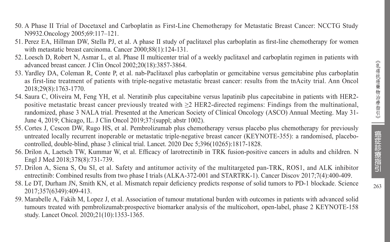- 50. A Phase II Trial of Docetaxel and Carboplatin as First-Line Chemotherapy for Metastatic Breast Cancer: NCCTG Study N9932.Oncology 2005;69:117–121.
- 51. Perez EA, Hillman DW, Stella PJ, et al. A phase II study of paclitaxel plus carboplatin as first-line chemotherapy for women with metastatic breast carcinoma. Cancer 2000;88(1):124-131.
- 52. Loesch D, Robert N, Asmar L, et al. Phase II multicenter trial of a weekly paclitaxel and carboplatin regimen in patients with advanced breast cancer. J Clin Oncol 2002;20(18):3857-3864.
- 53. Yardley DA, Coleman R, Conte P, et al. nab-Paclitaxel plus carboplatin or gemcitabine versus gemcitabine plus carboplatin as first-line treatment of patients with triple-negative metastatic breast cancer: results from the tnAcity trial. Ann Oncol 2018;29(8):1763-1770.
- 54. Saura C, Oliveira M, Feng YH, et al. Neratinib plus capecitabine versus lapatinib plus capecitabine in patients with HER2 positive metastatic breast cancer previously treated with ≥2 HER2-directed regimens: Findings from the multinational, randomized, phase 3 NALA trial. Presented at the American Society of Clinical Oncology (ASCO) Annual Meeting. May 31- June 4, 2019; Chicago, IL. J Clin Oncol 2019;37:(suppl; abstr 1002).
- 55. Cortes J, Cescon DW, Rugo HS, et al. Pembrolizumab plus chemotherapy versus placebo plus chemotherapy for previously untreated locally recurrent inoperable or metastatic triple-negative breast cancer (KEYNOTE-355): a randomised, placebocontrolled, double-blind, phase 3 clinical trial. Lancet. 2020 Dec 5;396(10265):1817-1828.
- 56. Drilon A, Laetsch TW, Kummar W, et al. Efficacy of larotrectinib in TRK fusion-positive cancers in adults and children. N Engl J Med 2018;378(8):731-739.
- 57. Drilon A, Siena S, Ou SI, et al. Safety and antitumor activity of the multitargeted pan-TRK, ROS1, and ALK inhibitor entrectinib: Combined results from two phase I trials (ALKA-372-001 and STARTRK-1). Cancer Discov 2017;7(4):400-409.
- 58. Le DT, Durham JN, Smith KN, et al. Mismatch repair deficiency predicts response of solid tumors to PD-1 blockade. Science 2017;357(6349):409-413.
- 59. Marabelle A, Fakih M, Lopez J, et al. Association of tumour mutational burden with outcomes in patients with advanced solid tumours treated with pembrolizumab:prospective biomarker analysis of the multicohort, open-label, phase 2 KEYNOTE-158 study. Lancet Oncol. 2020;21(10):1353-1365.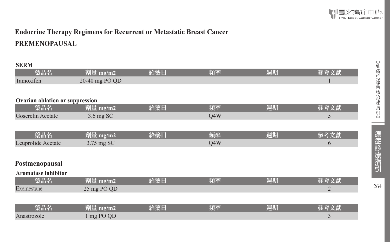# **Endocrine Therapy Regimens for Recurrent or Metastatic Breast Cancer PREMENOPAUSAL**

#### **SERM**

| 藥品名                             | 劑量 mg/m2       | 給藥日 | 頻率  | 週期 | 參考文獻           |
|---------------------------------|----------------|-----|-----|----|----------------|
| Tamoxifen                       | 20-40 mg PO QD |     |     |    |                |
|                                 |                |     |     |    |                |
| Ovarian ablation or suppression |                |     |     |    |                |
| 藥品名                             | 劑量 mg/m2       | 給藥日 | 頻率  | 週期 | 參考文獻           |
| Goserelin Acetate               | 3.6 mg SC      |     | Q4W |    | 5              |
|                                 |                |     |     |    |                |
| 藥品名                             | 劑量 mg/m2       | 給藥日 | 頻率  | 週期 | 參考文獻           |
| Leuprolide Acetate              | 3.75 mg SC     |     | Q4W |    | 6              |
|                                 |                |     |     |    |                |
| Postmenopausal                  |                |     |     |    |                |
| <b>Aromatase inhibitor</b>      |                |     |     |    |                |
| 藥品名                             | 劑量 mg/m2       | 給藥日 | 頻率  | 週期 | 參考文獻           |
| Exemestane                      | 25 mg PO QD    |     |     |    | $\overline{2}$ |
|                                 |                |     |     |    |                |
| 藥品名                             | 劑量 mg/m2       | 給藥日 | 頻率  | 週期 | 參考文獻           |
| Anastrozole                     | 1 mg PO QD     |     |     |    | 3              |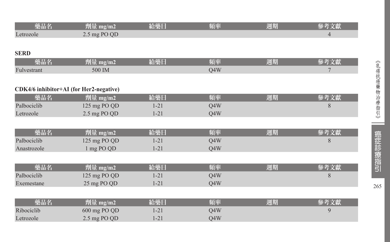| 藥品名         | <u>劑量</u> mg/m2                         | 給藥日      | 頻率  | 週期 | 參考文獻           |
|-------------|-----------------------------------------|----------|-----|----|----------------|
| Letrozole   | 2.5 mg PO QD                            |          |     |    | $\overline{4}$ |
|             |                                         |          |     |    |                |
| <b>SERD</b> |                                         |          |     |    |                |
| 藥品名         | 劑量 mg/m2                                | 給藥日      | 頻率  | 週期 | 參考文獻           |
| Fulvestrant | 500 IM                                  |          | Q4W |    | 7              |
|             |                                         |          |     |    |                |
|             | CDK4/6 inhibitor+AI (for Her2-negative) |          |     |    |                |
| 藥品名         | 劑量 mg/m2                                | 給藥日      | 頻率  | 週期 | 參考文獻           |
| Palbociclib | 125 mg PO QD                            | $1 - 21$ | Q4W |    | 8              |
| Letrozole   | 2.5 mg PO QD                            | $1 - 21$ | Q4W |    |                |
|             |                                         |          |     |    |                |
| 藥品名         | 劑量 mg/m2                                | 給藥日      | 頻率  | 週期 | 參考文獻           |
| Palbociclib | 125 mg PO QD                            | $1 - 21$ | Q4W |    | 8              |
| Anastrozole | 1 mg PO QD                              | $1 - 21$ | Q4W |    |                |
|             |                                         |          |     |    |                |
| 藥品名         | 劑量 mg/m2                                | 給藥日      | 頻率  | 週期 | 參考文獻           |
| Palbociclib | 125 mg PO QD                            | $1 - 21$ | Q4W |    | 8              |
| Exemestane  | 25 mg PO QD                             | $1 - 21$ | Q4W |    |                |
|             |                                         |          |     |    |                |
| 藥品名         | 劑量 mg/m2                                | 給藥日      | 頻率  | 週期 | 參考文獻           |
| Ribociclib  | 600 mg PO QD                            | $1 - 21$ | Q4W |    | 9              |
| Letrozole   | 2.5 mg PO QD                            | $1 - 21$ | Q4W |    |                |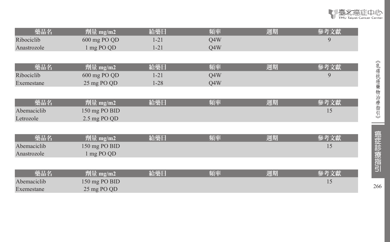| 藥品名         | 劑量 mg/m2      | 給藥日      | 頻率  | 週期 | 參考文獻 |
|-------------|---------------|----------|-----|----|------|
| Ribociclib  | 600 mg PO QD  | $1 - 21$ | Q4W |    | 9    |
| Anastrozole | 1 mg PO QD    | $1 - 21$ | Q4W |    |      |
|             |               |          |     |    |      |
| 藥品名         | 劑量 mg/m2      | 給藥日      | 頻率  | 週期 | 參考文獻 |
| Ribociclib  | 600 mg PO QD  | $1 - 21$ | Q4W |    | 9    |
| Exemestane  | 25 mg PO QD   | $1 - 28$ | Q4W |    |      |
|             |               |          |     |    |      |
| 藥品名         | 劑量 mg/m2      | 給藥日      | 頻率  | 週期 | 參考文獻 |
| Abemaciclib | 150 mg PO BID |          |     |    | 15   |
| Letrozole   | 2.5 mg PO QD  |          |     |    |      |
|             |               |          |     |    |      |
| 藥品名         | 劑量 mg/m2      | 給藥日      | 頻率  | 週期 | 參考文獻 |
| Abemaciclib | 150 mg PO BID |          |     |    | 15   |
| Anastrozole | 1 mg PO QD    |          |     |    |      |
|             |               |          |     |    |      |
| 藥品名         | 劑量 mg/m2      | 給藥日      | 頻率  | 週期 | 參考文獻 |
| Abemaciclib | 150 mg PO BID |          |     |    | 15   |
| Exemestane  | 25 mg PO QD   |          |     |    |      |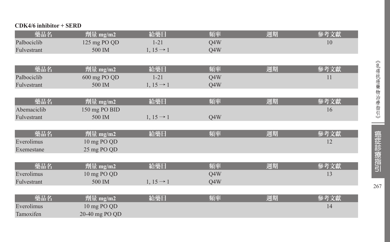#### **CDK4/6 inhibitor + SERD**

| 藥品名         | 劑量 mg/m2       | 給藥日                   | 頻率  | 週期 | 參考文獻 |
|-------------|----------------|-----------------------|-----|----|------|
| Palbociclib | 125 mg PO QD   | $1 - 21$              | Q4W |    | 10   |
| Fulvestrant | 500 IM         | $1, 15 \rightarrow 1$ | Q4W |    |      |
|             |                |                       |     |    |      |
| 藥品名         | 劑量 mg/m2       | 給藥日                   | 頻率  | 週期 | 參考文獻 |
| Palbociclib | 600 mg PO QD   | $1 - 21$              | Q4W |    | 11   |
| Fulvestrant | 500 IM         | $1, 15 \rightarrow 1$ | Q4W |    |      |
|             |                |                       |     |    |      |
| 藥品名         | 劑量 mg/m2       | 給藥日                   | 頻率  | 週期 | 參考文獻 |
| Abemaciclib | 150 mg PO BID  |                       |     |    | 16   |
| Fulvestrant | 500 IM         | $1, 15 \rightarrow 1$ | Q4W |    |      |
|             |                |                       |     |    |      |
| 藥品名         | 劑量 mg/m2       | 給藥日                   | 頻率  | 週期 | 參考文獻 |
| Everolimus  | 10 mg PO QD    |                       |     |    | 12   |
| Exemestane  | 25 mg PO QD    |                       |     |    |      |
|             |                |                       |     |    |      |
| 藥品名         | 劑量 mg/m2       | 給藥日                   | 頻率  | 週期 | 參考文獻 |
| Everolimus  | 10 mg PO QD    |                       | Q4W |    | 13   |
| Fulvestrant | 500 IM         | $1, 15 \rightarrow 1$ | Q4W |    |      |
|             |                |                       |     |    |      |
| 藥品名         | 劑量 mg/m2       | 給藥日                   | 頻率  | 週期 | 參考文獻 |
| Everolimus  | 10 mg PO QD    |                       |     |    | 14   |
| Tamoxifen   | 20-40 mg PO QD |                       |     |    |      |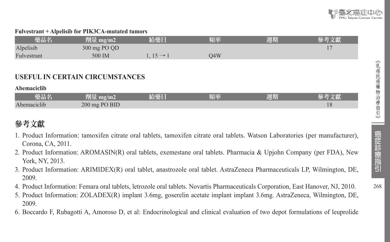#### **Fulvestrant + Alpelisib for PIK3CA-mutated tumors**

| 樂品名         | mg/m2<br>削車  |                  | 頻率   | 週期 |  |
|-------------|--------------|------------------|------|----|--|
| Alpelisib   | 300 mg PO QD |                  |      |    |  |
| Fulvestrant | 500 IM       | $15 \rightarrow$ | .94W |    |  |

#### **USEFUL IN CERTAIN CIRCUMSTANCES**

**Abemaciclib**

| 藥品名                | $\overline{\phantom{a}}$<br>771 II.<br>$\rm m$ g/m2<br>weni iliyo. | 給藥日 | 頻率 | 週期 | 乂縣       |
|--------------------|--------------------------------------------------------------------|-----|----|----|----------|
| $-$<br>Abemaciclib | 200 mg PO BID                                                      |     |    |    | ιc<br>10 |

# 參考文獻

- 1. Product Information: tamoxifen citrate oral tablets, tamoxifen citrate oral tablets. Watson Laboratories (per manufacturer), Corona, CA, 2011.
- 2. Product Information: AROMASIN(R) oral tablets, exemestane oral tablets. Pharmacia & Upjohn Company (per FDA), New York, NY, 2013.
- 3. Product Information: ARIMIDEX(R) oral tablet, anastrozole oral tablet. AstraZeneca Pharmaceuticals LP, Wilmington, DE, 2009.
- 4. Product Information: Femara oral tablets, letrozole oral tablets. Novartis Pharmaceuticals Corporation, East Hanover, NJ, 2010.
- 5. Product Information: ZOLADEX(R) implant 3.6mg, goserelin acetate implant implant 3.6mg. AstraZeneca, Wilmington, DE, 2009.
- 6. Boccardo F, Rubagotti A, Amoroso D, et al: Endocrinological and clinical evaluation of two depot formulations of leuprolide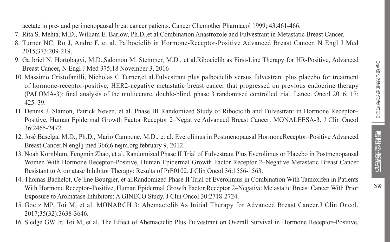269

acetate in pre- and perimenopausal breat cancer patients. Cancer Chemother Pharmacol 1999; 43:461-466.

- 7. Rita S. Mehta, M.D., William E. Barlow, Ph.D.,et al.Combination Anastrozole and Fulvestrant in Metastatic Breast Cancer.
- 8. Turner NC, Ro J, Andre F, et al. Palbociclib in Hormone-Receptor-Positive Advanced Breast Cancer. N Engl J Med 2015;373:209-219.
- 9. Ga briel N. Hortobagyi, M.D.,Salomon M. Stemmer, M.D., et al.Ribociclib as First-Line Therapy for HR-Positive, Advanced Breast Cancer, N Engl J Med 375;18 November 3, 2016
- 10. Massimo Cristofanilli, Nicholas C Turner,et al.Fulvestrant plus palbociclib versus fulvestrant plus placebo for treatment of hormone-receptor-positive, HER2-negative metastatic breast cancer that progressed on previous endocrine therapy (PALOMA-3): final analysis of the multicentre, double-blind, phase 3 randomised controlled trial. Lancet Oncol 2016; 17: 425–39.
- 11. Dennis J. Slamon, Patrick Neven, et al. Phase III Randomized Study of Ribociclib and Fulvestrant in Hormone Receptor– Positive, Human Epidermal Growth Factor Receptor 2–Negative Advanced Breast Cancer: MONALEESA-3. J Clin Oncol 36:2465-2472.
- 12. José Baselga, M.D., Ph.D., Mario Campone, M.D., et al. Everolimus in Postmenopausal HormoneReceptor–Positive Advanced Breast Cancer.N engl j med 366;6 nejm.org february 9, 2012.
- 13. Noah Kornblum, Fengmin Zhao, et al. Randomized Phase II Trial of Fulvestrant Plus Everolimus or Placebo in Postmenopausal Women With Hormone Receptor–Positive, Human Epidermal Growth Factor Receptor 2–Negative Metastatic Breast Cancer Resistant to Aromatase Inhibitor Therapy: Results of PrE0102. J Clin Oncol 36:1556-1563.
- 14. Thomas Bachelot, Ce´line Bourgier, et al.Randomized Phase II Trial of Everolimus in Combination With Tamoxifen in Patients With Hormone Receptor–Positive, Human Epidermal Growth Factor Receptor 2–Negative Metastatic Breast Cancer With Prior Exposure to Aromatase Inhibitors: A GINECO Study. J Clin Oncol 30:2718-2724.
- 15. Goetz MP, Toi M, et al. MONARCH 3: Abemaciclib As Initial Therapy for Advanced Breast Cancer.J Clin Oncol. 2017;35(32):3638-3646.
- 16. Sledge GW Jr, Toi M, et al. The Effect of Abemaciclib Plus Fulvestrant on Overall Survival in Hormone Receptor–Positive,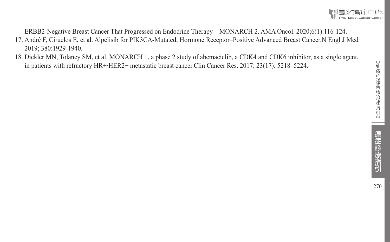ERBB2-Negative Breast Cancer That Progressed on Endocrine Therapy—MONARCH 2. AMA Oncol. 2020;6(1):116-124.

- 17. André F, Ciruelos E, et al. Alpelisib for PIK3CA-Mutated, Hormone Receptor–Positive Advanced Breast Cancer.N Engl J Med 2019; 380:1929-1940.
- 18. Dickler MN, Tolaney SM, et al. MONARCH 1, a phase 2 study of abemaciclib, a CDK4 and CDK6 inhibitor, as a single agent, in patients with refractory HR+/HER2− metastatic breast cancer.Clin Cancer Res. 2017; 23(17): 5218–5224.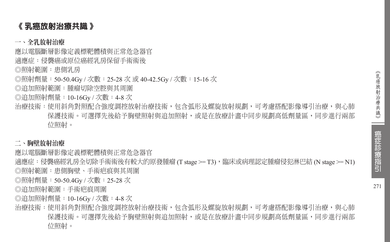# 《 乳癌放射治療共識 》

#### 一、全乳放射治療

應以電腦斷層影像定義標靶體積與正常危急器官

適應症:侵襲癌或原位癌經乳房保留手術術後

◎照射範圍:患側乳房

◎照射劑量:50-50.4Gy / 次數:25-28 次 或 40-42.5Gy / 次數:15-16 次

◎追加照射範圍:腫瘤切除空腔與其周圍

◎追加照射劑量:10-16Gy / 次數:4-8 次

治療技術:使用斜角對照配合強度調控放射治療技術,包含弧形及螺旋放射規劃,可考慮搭配影像導引治療,與心肺 保護技術。可選擇先後給予胸壁照射與追加照射,或是在放療計畫中同步規劃高低劑量區,同步進行兩部 位照射。

#### 二、胸壁放射治療

應以電腦斷層影像定義標靶體積與正常危急器官

適應症:侵襲癌經乳房全切除手術術後有較大的原發腫瘤 (T stage >= T3),臨床或病理認定腫瘤侵犯淋巴結 (N stage >= N1) ◎照射範圍:患側胸壁、手術疤痕與其周圍

◎照射劑量:50-50.4Gy / 次數:25-28 次

◎追加照射範圍:手術疤痕周圍

◎追加照射劑量:10-16Gy / 次數:4-8 次

治療技術:使用斜角對照配合強度調控放射治療技術,包含弧形及螺旋放射規劃,可考慮搭配影像導引治療,與心肺 保護技術。可選擇先後給予胸壁照射與追加照射,或是在放療計書中同步規劃高低劑量區,同步進行兩部 位照射。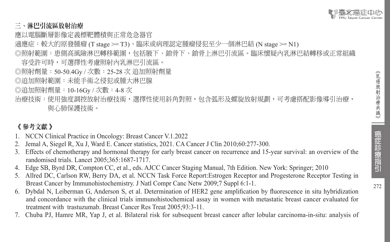

#### 三、淋巴引流區放射治療

應以電腦斷層影像定義標靶體積與正常危急器官

- 適應症:較大的原發腫瘤 (T stage >= T3)、臨床或病理認定腫瘤侵犯至少一個淋巴結 (N stage >= N1)
- ◎照射範圍:患側高風險淋巴轉移範圍,包括腋下、鎖骨下、鎖骨上淋巴引流區。臨床懷疑內乳淋巴結轉移或正常組織 容受許可時,可選擇性考慮照射內乳淋巴引流區。
- ◎照射劑量:50-50.4Gy / 次數:25-28 次 追加照射劑量
- ◎追加照射範圍:未能手術之侵犯或腫大淋巴腺
- ◎追加照射劑量:10-16Gy / 次數:4-8 次
- 治療技術:使用強度調控放射治療技術,選擇性使用斜角對照,包含弧形及螺旋放射規劃,可考慮搭配影像導引治療, 與心肺保護技術。

## 《 參考文獻 》

- 1. NCCN Clinical Practice in Oncology: Breast Cancer V.1.2022
- 2. Jemal A, Siegel R, Xu J, Ward E. Cancer statistics, 2021. CA Cancer J Clin 2010;60:277-300.
- 3. Effects of chemotherapy and hormonal therapy for early breast cancer on recurrence and 15-year survival: an overview of the randomised trials. Lancet 2005;365:1687-1717.
- 4. Edge SB, Byrd DR, Compton CC, et al., eds. AJCC Cancer Staging Manual, 7th Edition. New York: Springer; 2010
- 5. Allred DC, Carlson RW, Berry DA, et al. NCCN Task Force Report:Estrogen Receptor and Progesterone Receptor Testing in Breast Cancer by Immunohistochemistry. J Natl Compr Canc Netw 2009;7 Suppl 6:1-1.
- 6. Dybdal N, Leiberman G, Anderson S, et al. Determination of HER2 gene amplification by fluorescence in situ hybridization and concordance with the clinical trials immunohistochemical assay in women with metastatic breast cancer evaluated for treatment with trastuzumab. Breast Cancer Res Treat 2005;93:3-11.
- 7. Chuba PJ, Hamre MR, Yap J, et al. Bilateral risk for subsequent breast cancer after lobular carcinoma-in-situ: analysis of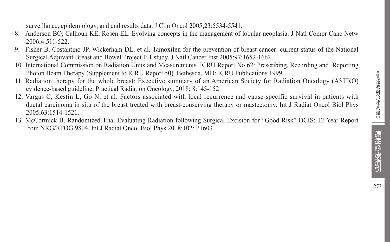surveillance, epidemiology, and end results data. J Clin Oncol 2005;23:5534-5541.

- 8. Anderson BO, Calhoun KE, Rosen EL. Evolving concepts in the management of lobular neoplasia. J Natl Compr Canc Netw 2006;4:511-522.
- 9. Fisher B, Costantino JP, Wickerham DL, et al. Tamoxifen for the prevention of breast cancer: current status of the National Surgical Adjuvant Breast and Bowel Project P-1 study. J Natl Cancer Inst 2005;97:1652-1662.
- 10. International Commission on Radiation Units and Measurements. ICRU Report No 62: Prescribing, Recording and Reporting Photon Beam Therapy (Supplement to ICRU Report 50). Bethesda, MD: ICRU Publications 1999.
- 11. Radiation therapy for the whole breast: Executive summary of an American Society for Radiation Oncology (ASTRO) evidence-based guideline, Practical Radiation Oncology, 2018; 8:145-152
- 12. Vargas C, Kestin L, Go N, et al. Factors associated with local recurrence and cause-specific survival in patients with ductal carcinoma in situ of the breast treated with breast-conserving therapy or mastectomy. Int J Radiat Oncol Biol Phys 2005;63:1514-1521.
- 13. McCormick B. Randomized Trial Evaluating Radiation following Surgical Excision for "Good Risk" DCIS: 12-Year Report from NRG/RTOG 9804. Int J Radiat Oncol Biol Phys 2018;102: P1603